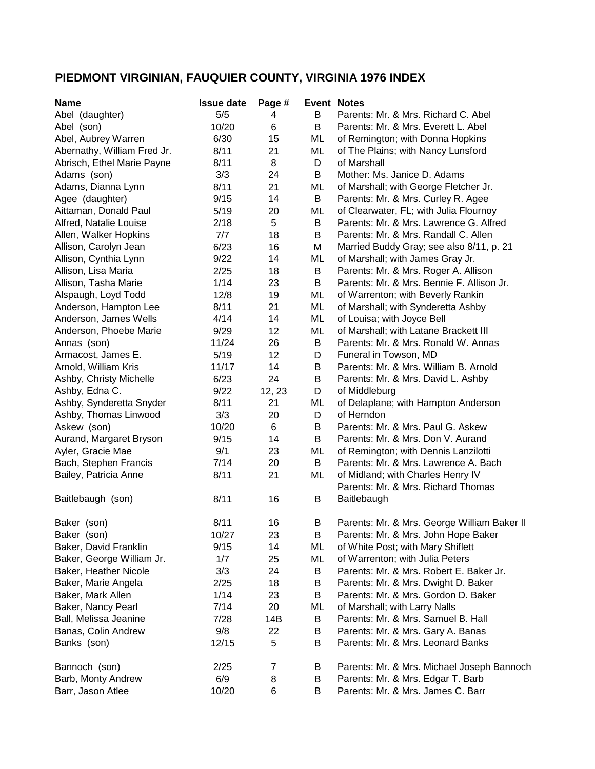## **PIEDMONT VIRGINIAN, FAUQUIER COUNTY, VIRGINIA 1976 INDEX**

| <b>Name</b>                 | <b>Issue date</b> | Page #         |    | <b>Event Notes</b>                                                           |
|-----------------------------|-------------------|----------------|----|------------------------------------------------------------------------------|
| Abel (daughter)             | 5/5               | 4              | В  | Parents: Mr. & Mrs. Richard C. Abel                                          |
| Abel (son)                  | 10/20             | 6              | В  | Parents: Mr. & Mrs. Everett L. Abel                                          |
| Abel, Aubrey Warren         | 6/30              | 15             | ML | of Remington; with Donna Hopkins                                             |
| Abernathy, William Fred Jr. | 8/11              | 21             | ML | of The Plains; with Nancy Lunsford                                           |
| Abrisch, Ethel Marie Payne  | 8/11              | 8              | D  | of Marshall                                                                  |
| Adams (son)                 | 3/3               | 24             | B  | Mother: Ms. Janice D. Adams                                                  |
| Adams, Dianna Lynn          | 8/11              | 21             | ML | of Marshall; with George Fletcher Jr.                                        |
| Agee (daughter)             | 9/15              | 14             | B  | Parents: Mr. & Mrs. Curley R. Agee                                           |
| Aittaman, Donald Paul       | 5/19              | 20             | ML | of Clearwater, FL; with Julia Flournoy                                       |
| Alfred, Natalie Louise      | 2/18              | 5              | B  | Parents: Mr. & Mrs. Lawrence G. Alfred                                       |
| Allen, Walker Hopkins       | 7/7               | 18             | B  | Parents: Mr. & Mrs. Randall C. Allen                                         |
| Allison, Carolyn Jean       | 6/23              | 16             | M  | Married Buddy Gray; see also 8/11, p. 21                                     |
| Allison, Cynthia Lynn       | 9/22              | 14             | ML | of Marshall; with James Gray Jr.                                             |
| Allison, Lisa Maria         | 2/25              | 18             | B  | Parents: Mr. & Mrs. Roger A. Allison                                         |
| Allison, Tasha Marie        | 1/14              | 23             | B  | Parents: Mr. & Mrs. Bennie F. Allison Jr.                                    |
| Alspaugh, Loyd Todd         | 12/8              | 19             | ML | of Warrenton; with Beverly Rankin                                            |
| Anderson, Hampton Lee       | 8/11              | 21             | ML | of Marshall; with Synderetta Ashby                                           |
| Anderson, James Wells       | 4/14              | 14             | ML | of Louisa; with Joyce Bell                                                   |
| Anderson, Phoebe Marie      | 9/29              | 12             | ML | of Marshall; with Latane Brackett III                                        |
| Annas (son)                 | 11/24             | 26             | В  | Parents: Mr. & Mrs. Ronald W. Annas                                          |
| Armacost, James E.          | 5/19              | 12             | D  | Funeral in Towson, MD                                                        |
| Arnold, William Kris        | 11/17             | 14             | B  | Parents: Mr. & Mrs. William B. Arnold                                        |
| Ashby, Christy Michelle     | 6/23              | 24             | B  | Parents: Mr. & Mrs. David L. Ashby                                           |
| Ashby, Edna C.              | 9/22              | 12, 23         | D  | of Middleburg                                                                |
| Ashby, Synderetta Snyder    | 8/11              | 21             | ML | of Delaplane; with Hampton Anderson                                          |
| Ashby, Thomas Linwood       | 3/3               | 20             | D  | of Herndon                                                                   |
| Askew (son)                 | 10/20             | 6              | B  | Parents: Mr. & Mrs. Paul G. Askew                                            |
|                             | 9/15              | 14             | B  | Parents: Mr. & Mrs. Don V. Aurand                                            |
| Aurand, Margaret Bryson     | 9/1               | 23             | ML |                                                                              |
| Ayler, Gracie Mae           | 7/14              | 20             | B  | of Remington; with Dennis Lanzilotti<br>Parents: Mr. & Mrs. Lawrence A. Bach |
| Bach, Stephen Francis       |                   |                | ML |                                                                              |
| Bailey, Patricia Anne       | 8/11              | 21             |    | of Midland; with Charles Henry IV                                            |
|                             |                   |                |    | Parents: Mr. & Mrs. Richard Thomas                                           |
| Baitlebaugh (son)           | 8/11              | 16             | B  | Baitlebaugh                                                                  |
| Baker (son)                 | 8/11              | 16             | B  | Parents: Mr. & Mrs. George William Baker II                                  |
| Baker (son)                 | 10/27             | 23             | В  | Parents: Mr. & Mrs. John Hope Baker                                          |
| Baker, David Franklin       | 9/15              | 14             | ML | of White Post; with Mary Shiflett                                            |
| Baker, George William Jr.   | 1/7               | 25             | ML | of Warrenton; with Julia Peters                                              |
| Baker, Heather Nicole       | 3/3               | 24             | В  | Parents: Mr. & Mrs. Robert E. Baker Jr.                                      |
| Baker, Marie Angela         | 2/25              | 18             | В  | Parents: Mr. & Mrs. Dwight D. Baker                                          |
| Baker, Mark Allen           | 1/14              | 23             | B  | Parents: Mr. & Mrs. Gordon D. Baker                                          |
| Baker, Nancy Pearl          | 7/14              | 20             | ML | of Marshall; with Larry Nalls                                                |
| Ball, Melissa Jeanine       | 7/28              | 14B            | B  | Parents: Mr. & Mrs. Samuel B. Hall                                           |
| Banas, Colin Andrew         |                   | 22             | B  | Parents: Mr. & Mrs. Gary A. Banas                                            |
|                             | 9/8               |                |    | Parents: Mr. & Mrs. Leonard Banks                                            |
| Banks (son)                 | 12/15             | 5              | B  |                                                                              |
| Bannoch (son)               | 2/25              | $\overline{7}$ | B  | Parents: Mr. & Mrs. Michael Joseph Bannoch                                   |
| Barb, Monty Andrew          | 6/9               | 8              | B  | Parents: Mr. & Mrs. Edgar T. Barb                                            |
| Barr, Jason Atlee           | 10/20             | 6              | B  | Parents: Mr. & Mrs. James C. Barr                                            |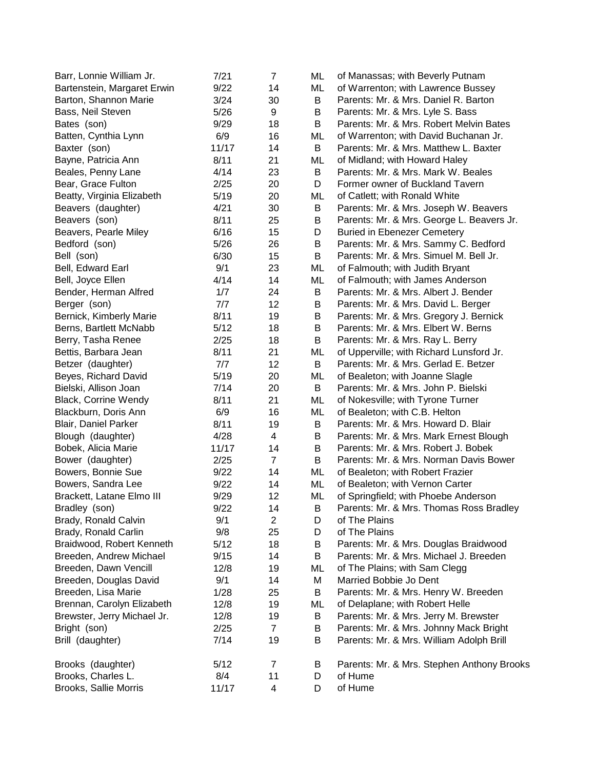| Barr, Lonnie William Jr.    | 7/21  | $\overline{7}$ | ML | of Manassas; with Beverly Putnam           |
|-----------------------------|-------|----------------|----|--------------------------------------------|
| Bartenstein, Margaret Erwin | 9/22  | 14             | ML | of Warrenton; with Lawrence Bussey         |
| Barton, Shannon Marie       | 3/24  | 30             | B  | Parents: Mr. & Mrs. Daniel R. Barton       |
| Bass, Neil Steven           | 5/26  | 9              | B  | Parents: Mr. & Mrs. Lyle S. Bass           |
| Bates (son)                 | 9/29  | 18             | B  | Parents: Mr. & Mrs. Robert Melvin Bates    |
| Batten, Cynthia Lynn        | 6/9   | 16             | ML | of Warrenton; with David Buchanan Jr.      |
| Baxter (son)                | 11/17 | 14             | B  | Parents: Mr. & Mrs. Matthew L. Baxter      |
| Bayne, Patricia Ann         | 8/11  | 21             | ML | of Midland; with Howard Haley              |
| Beales, Penny Lane          | 4/14  | 23             | B  | Parents: Mr. & Mrs. Mark W. Beales         |
| Bear, Grace Fulton          | 2/25  | 20             | D  | Former owner of Buckland Tavern            |
| Beatty, Virginia Elizabeth  | 5/19  | 20             | ML | of Catlett; with Ronald White              |
| Beavers (daughter)          | 4/21  | 30             | B  | Parents: Mr. & Mrs. Joseph W. Beavers      |
| Beavers (son)               | 8/11  | 25             | B  | Parents: Mr. & Mrs. George L. Beavers Jr.  |
| Beavers, Pearle Miley       | 6/16  | 15             | D  | <b>Buried in Ebenezer Cemetery</b>         |
| Bedford (son)               | 5/26  | 26             | B  | Parents: Mr. & Mrs. Sammy C. Bedford       |
| Bell (son)                  | 6/30  | 15             | B  | Parents: Mr. & Mrs. Simuel M. Bell Jr.     |
| Bell, Edward Earl           | 9/1   | 23             | ML | of Falmouth; with Judith Bryant            |
| Bell, Joyce Ellen           | 4/14  | 14             | ML | of Falmouth; with James Anderson           |
| Bender, Herman Alfred       | 1/7   | 24             | B  | Parents: Mr. & Mrs. Albert J. Bender       |
| Berger (son)                | 7/7   | 12             | B  | Parents: Mr. & Mrs. David L. Berger        |
| Bernick, Kimberly Marie     | 8/11  | 19             | B  | Parents: Mr. & Mrs. Gregory J. Bernick     |
| Berns, Bartlett McNabb      | 5/12  | 18             | В  | Parents: Mr. & Mrs. Elbert W. Berns        |
| Berry, Tasha Renee          | 2/25  | 18             | В  | Parents: Mr. & Mrs. Ray L. Berry           |
| Bettis, Barbara Jean        | 8/11  | 21             | ML | of Upperville; with Richard Lunsford Jr.   |
| Betzer (daughter)           | 7/7   | 12             | B  | Parents: Mr. & Mrs. Gerlad E. Betzer       |
| Beyes, Richard David        | 5/19  | 20             | ML | of Bealeton; with Joanne Slagle            |
| Bielski, Allison Joan       | 7/14  | 20             | B  | Parents: Mr. & Mrs. John P. Bielski        |
| <b>Black, Corrine Wendy</b> | 8/11  | 21             | ML | of Nokesville; with Tyrone Turner          |
| Blackburn, Doris Ann        | 6/9   | 16             | ML | of Bealeton; with C.B. Helton              |
| <b>Blair, Daniel Parker</b> | 8/11  | 19             | B  | Parents: Mr. & Mrs. Howard D. Blair        |
| Blough (daughter)           | 4/28  | 4              | B  | Parents: Mr. & Mrs. Mark Ernest Blough     |
| Bobek, Alicia Marie         | 11/17 | 14             | B  | Parents: Mr. & Mrs. Robert J. Bobek        |
| Bower (daughter)            | 2/25  | $\overline{7}$ | B  | Parents: Mr. & Mrs. Norman Davis Bower     |
| Bowers, Bonnie Sue          | 9/22  | 14             | ML | of Bealeton; with Robert Frazier           |
| Bowers, Sandra Lee          | 9/22  | 14             | ML | of Bealeton; with Vernon Carter            |
| Brackett, Latane Elmo III   | 9/29  | 12             | ML | of Springfield; with Phoebe Anderson       |
| Bradley (son)               | 9/22  | 14             | В  | Parents: Mr. & Mrs. Thomas Ross Bradley    |
| Brady, Ronald Calvin        | 9/1   | $\overline{2}$ | D  | of The Plains                              |
| Brady, Ronald Carlin        | 9/8   | 25             | D  | of The Plains                              |
| Braidwood, Robert Kenneth   | 5/12  | 18             | В  | Parents: Mr. & Mrs. Douglas Braidwood      |
| Breeden, Andrew Michael     | 9/15  | 14             | B  | Parents: Mr. & Mrs. Michael J. Breeden     |
| Breeden, Dawn Vencill       | 12/8  | 19             | ML | of The Plains; with Sam Clegg              |
| Breeden, Douglas David      | 9/1   | 14             | M  | Married Bobbie Jo Dent                     |
| Breeden, Lisa Marie         | 1/28  | 25             | B  | Parents: Mr. & Mrs. Henry W. Breeden       |
| Brennan, Carolyn Elizabeth  | 12/8  | 19             | ML | of Delaplane; with Robert Helle            |
| Brewster, Jerry Michael Jr. | 12/8  | 19             | B  | Parents: Mr. & Mrs. Jerry M. Brewster      |
| Bright (son)                | 2/25  | $\overline{7}$ | B  | Parents: Mr. & Mrs. Johnny Mack Bright     |
| Brill (daughter)            | 7/14  | 19             | В  | Parents: Mr. & Mrs. William Adolph Brill   |
|                             |       |                |    |                                            |
| Brooks (daughter)           | 5/12  | $\overline{7}$ | B  | Parents: Mr. & Mrs. Stephen Anthony Brooks |
| Brooks, Charles L.          | 8/4   | 11             | D  | of Hume                                    |
| Brooks, Sallie Morris       | 11/17 | 4              | D  | of Hume                                    |
|                             |       |                |    |                                            |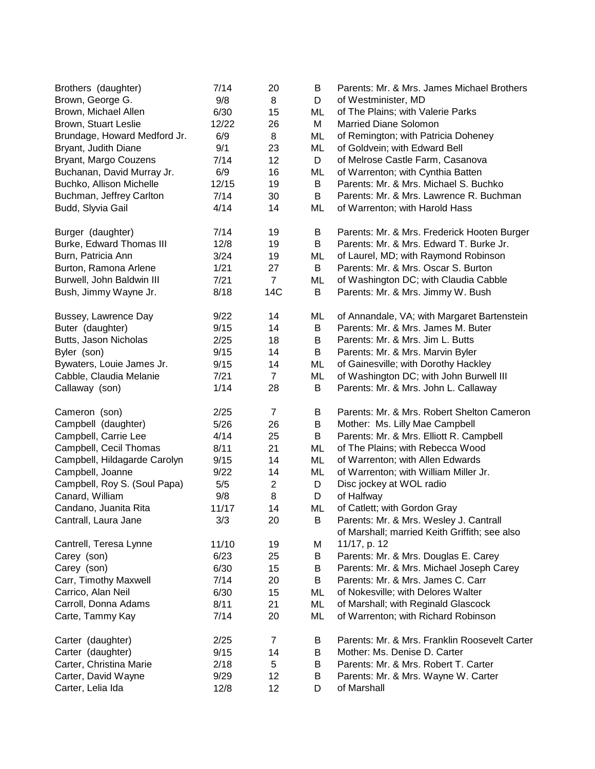| Brothers (daughter)          | 7/14  | 20              | B  | Parents: Mr. & Mrs. James Michael Brothers    |
|------------------------------|-------|-----------------|----|-----------------------------------------------|
| Brown, George G.             | 9/8   | 8               | D  | of Westminister, MD                           |
| Brown, Michael Allen         | 6/30  | 15              | ML | of The Plains; with Valerie Parks             |
| Brown, Stuart Leslie         | 12/22 | 26              | M  | <b>Married Diane Solomon</b>                  |
| Brundage, Howard Medford Jr. | 6/9   | 8               | ML | of Remington; with Patricia Doheney           |
| Bryant, Judith Diane         | 9/1   | 23              | ML | of Goldvein; with Edward Bell                 |
| Bryant, Margo Couzens        | 7/14  | 12              | D  | of Melrose Castle Farm, Casanova              |
| Buchanan, David Murray Jr.   | 6/9   | 16              | ML | of Warrenton; with Cynthia Batten             |
| Buchko, Allison Michelle     | 12/15 | 19              | B  | Parents: Mr. & Mrs. Michael S. Buchko         |
| Buchman, Jeffrey Carlton     | 7/14  | 30              | B  | Parents: Mr. & Mrs. Lawrence R. Buchman       |
| Budd, Slyvia Gail            | 4/14  | 14              | ML | of Warrenton; with Harold Hass                |
| Burger (daughter)            | 7/14  | 19              | В  | Parents: Mr. & Mrs. Frederick Hooten Burger   |
| Burke, Edward Thomas III     | 12/8  | 19              | B  | Parents: Mr. & Mrs. Edward T. Burke Jr.       |
| Burn, Patricia Ann           | 3/24  | 19              | ML | of Laurel, MD; with Raymond Robinson          |
| Burton, Ramona Arlene        | 1/21  | 27              | B  | Parents: Mr. & Mrs. Oscar S. Burton           |
| Burwell, John Baldwin III    | 7/21  | $\overline{7}$  | ML | of Washington DC; with Claudia Cabble         |
| Bush, Jimmy Wayne Jr.        | 8/18  | 14C             | B  | Parents: Mr. & Mrs. Jimmy W. Bush             |
| Bussey, Lawrence Day         | 9/22  | 14              | ML | of Annandale, VA; with Margaret Bartenstein   |
| Buter (daughter)             | 9/15  | 14              | B  | Parents: Mr. & Mrs. James M. Buter            |
| Butts, Jason Nicholas        | 2/25  | 18              | B  | Parents: Mr. & Mrs. Jim L. Butts              |
| Byler (son)                  | 9/15  | 14              | B  | Parents: Mr. & Mrs. Marvin Byler              |
| Bywaters, Louie James Jr.    | 9/15  | 14              | ML | of Gainesville; with Dorothy Hackley          |
| Cabble, Claudia Melanie      | 7/21  | $\overline{7}$  | ML | of Washington DC; with John Burwell III       |
| Callaway (son)               | 1/14  | 28              | B  | Parents: Mr. & Mrs. John L. Callaway          |
| Cameron (son)                | 2/25  | $\overline{7}$  | B  | Parents: Mr. & Mrs. Robert Shelton Cameron    |
| Campbell (daughter)          | 5/26  | 26              | B  | Mother: Ms. Lilly Mae Campbell                |
| Campbell, Carrie Lee         | 4/14  | 25              | B  | Parents: Mr. & Mrs. Elliott R. Campbell       |
| Campbell, Cecil Thomas       | 8/11  | 21              | ML | of The Plains; with Rebecca Wood              |
| Campbell, Hildagarde Carolyn | 9/15  | 14              | ML | of Warrenton; with Allen Edwards              |
| Campbell, Joanne             | 9/22  | 14              | ML | of Warrenton; with William Miller Jr.         |
| Campbell, Roy S. (Soul Papa) | 5/5   | $\overline{2}$  | D  | Disc jockey at WOL radio                      |
| Canard, William              | 9/8   | 8               | D  | of Halfway                                    |
| Candano, Juanita Rita        | 11/17 | 14              | ML | of Catlett; with Gordon Gray                  |
| Cantrall, Laura Jane         | 3/3   | 20              | B  | Parents: Mr. & Mrs. Wesley J. Cantrall        |
|                              |       |                 |    | of Marshall; married Keith Griffith; see also |
| Cantrell, Teresa Lynne       | 11/10 | 19              | M  | 11/17, p. 12                                  |
| Carey (son)                  | 6/23  | 25              | B  | Parents: Mr. & Mrs. Douglas E. Carey          |
| Carey (son)                  | 6/30  | 15              | B  | Parents: Mr. & Mrs. Michael Joseph Carey      |
| Carr, Timothy Maxwell        | 7/14  | 20              | B  | Parents: Mr. & Mrs. James C. Carr             |
| Carrico, Alan Neil           | 6/30  | 15              | ML | of Nokesville; with Delores Walter            |
| Carroll, Donna Adams         | 8/11  | 21              | ML | of Marshall; with Reginald Glascock           |
| Carte, Tammy Kay             | 7/14  |                 | ML | of Warrenton; with Richard Robinson           |
|                              |       | 20              |    |                                               |
| Carter (daughter)            | 2/25  | $\overline{7}$  | B  | Parents: Mr. & Mrs. Franklin Roosevelt Carter |
| Carter (daughter)            | 9/15  | 14              | B  | Mother: Ms. Denise D. Carter                  |
| Carter, Christina Marie      | 2/18  | 5               | B  | Parents: Mr. & Mrs. Robert T. Carter          |
| Carter, David Wayne          | 9/29  | 12              | В  | Parents: Mr. & Mrs. Wayne W. Carter           |
| Carter, Lelia Ida            | 12/8  | 12 <sub>2</sub> | D  | of Marshall                                   |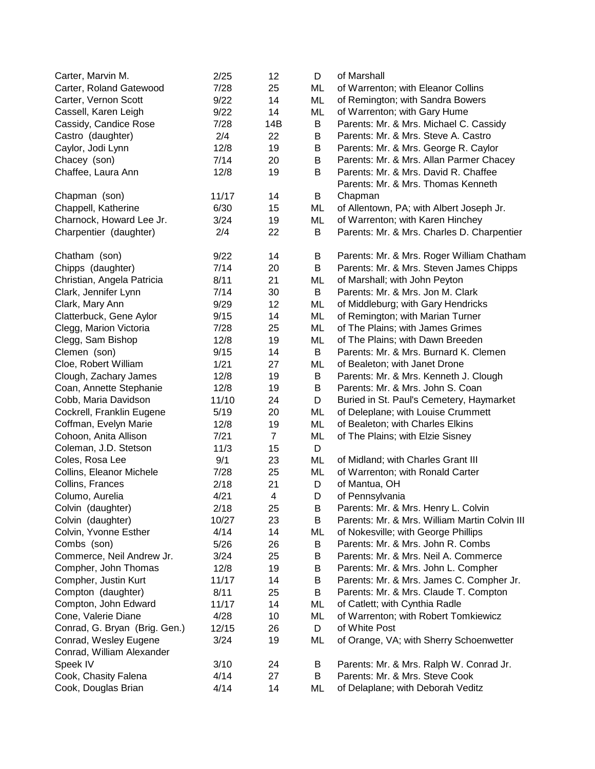| Carter, Marvin M.             | 2/25  | 12             | D  | of Marshall                                   |
|-------------------------------|-------|----------------|----|-----------------------------------------------|
| Carter, Roland Gatewood       | 7/28  | 25             | ML | of Warrenton; with Eleanor Collins            |
| Carter, Vernon Scott          | 9/22  | 14             | ML | of Remington; with Sandra Bowers              |
| Cassell, Karen Leigh          | 9/22  | 14             | ML | of Warrenton; with Gary Hume                  |
| Cassidy, Candice Rose         | 7/28  | 14B            | B  | Parents: Mr. & Mrs. Michael C. Cassidy        |
| Castro (daughter)             | 2/4   | 22             | B  | Parents: Mr. & Mrs. Steve A. Castro           |
| Caylor, Jodi Lynn             | 12/8  | 19             | B  | Parents: Mr. & Mrs. George R. Caylor          |
| Chacey (son)                  | 7/14  | 20             | B  | Parents: Mr. & Mrs. Allan Parmer Chacey       |
| Chaffee, Laura Ann            | 12/8  | 19             | B  | Parents: Mr. & Mrs. David R. Chaffee          |
|                               |       |                |    | Parents: Mr. & Mrs. Thomas Kenneth            |
| Chapman (son)                 | 11/17 | 14             | B  | Chapman                                       |
| Chappell, Katherine           | 6/30  | 15             | ML | of Allentown, PA; with Albert Joseph Jr.      |
| Charnock, Howard Lee Jr.      | 3/24  | 19             | ML | of Warrenton; with Karen Hinchey              |
| Charpentier (daughter)        | 2/4   | 22             | B  | Parents: Mr. & Mrs. Charles D. Charpentier    |
| Chatham (son)                 | 9/22  | 14             | B  | Parents: Mr. & Mrs. Roger William Chatham     |
| Chipps (daughter)             | 7/14  | 20             | B  | Parents: Mr. & Mrs. Steven James Chipps       |
| Christian, Angela Patricia    | 8/11  | 21             | ML | of Marshall; with John Peyton                 |
| Clark, Jennifer Lynn          | 7/14  | 30             | B  | Parents: Mr. & Mrs. Jon M. Clark              |
| Clark, Mary Ann               | 9/29  | 12             | ML | of Middleburg; with Gary Hendricks            |
| Clatterbuck, Gene Aylor       | 9/15  | 14             | ML | of Remington; with Marian Turner              |
| Clegg, Marion Victoria        | 7/28  | 25             | ML | of The Plains; with James Grimes              |
| Clegg, Sam Bishop             | 12/8  | 19             | ML | of The Plains; with Dawn Breeden              |
| Clemen (son)                  | 9/15  | 14             | B  | Parents: Mr. & Mrs. Burnard K. Clemen         |
| Cloe, Robert William          | 1/21  | 27             | ML | of Bealeton; with Janet Drone                 |
| Clough, Zachary James         | 12/8  | 19             | B  | Parents: Mr. & Mrs. Kenneth J. Clough         |
| Coan, Annette Stephanie       | 12/8  | 19             | B  | Parents: Mr. & Mrs. John S. Coan              |
| Cobb, Maria Davidson          | 11/10 | 24             | D  | Buried in St. Paul's Cemetery, Haymarket      |
| Cockrell, Franklin Eugene     | 5/19  | 20             | ML | of Deleplane; with Louise Crummett            |
| Coffman, Evelyn Marie         | 12/8  | 19             | ML | of Bealeton; with Charles Elkins              |
| Cohoon, Anita Allison         | 7/21  | $\overline{7}$ | ML | of The Plains; with Elzie Sisney              |
| Coleman, J.D. Stetson         | 11/3  | 15             | D  |                                               |
| Coles, Rosa Lee               | 9/1   | 23             | ML | of Midland; with Charles Grant III            |
| Collins, Eleanor Michele      | 7/28  | 25             | ML | of Warrenton; with Ronald Carter              |
| Collins, Frances              | 2/18  | 21             | D  | of Mantua, OH                                 |
| Columo, Aurelia               | 4/21  | 4              | D  | of Pennsylvania                               |
| Colvin (daughter)             | 2/18  | 25             | B  | Parents: Mr. & Mrs. Henry L. Colvin           |
| Colvin (daughter)             | 10/27 | 23             | B  | Parents: Mr. & Mrs. William Martin Colvin III |
| Colvin, Yvonne Esther         | 4/14  | 14             | ML | of Nokesville; with George Phillips           |
| Combs (son)                   | 5/26  | 26             | B  | Parents: Mr. & Mrs. John R. Combs             |
| Commerce, Neil Andrew Jr.     | 3/24  | 25             | B  | Parents: Mr. & Mrs. Neil A. Commerce          |
| Compher, John Thomas          | 12/8  | 19             | B  | Parents: Mr. & Mrs. John L. Compher           |
| Compher, Justin Kurt          | 11/17 | 14             | B  | Parents: Mr. & Mrs. James C. Compher Jr.      |
| Compton (daughter)            | 8/11  | 25             | В  | Parents: Mr. & Mrs. Claude T. Compton         |
| Compton, John Edward          | 11/17 | 14             | ML | of Catlett; with Cynthia Radle                |
| Cone, Valerie Diane           | 4/28  | 10             | ML | of Warrenton; with Robert Tomkiewicz          |
| Conrad, G. Bryan (Brig. Gen.) | 12/15 | 26             | D  | of White Post                                 |
| Conrad, Wesley Eugene         | 3/24  | 19             | ML | of Orange, VA; with Sherry Schoenwetter       |
| Conrad, William Alexander     |       |                |    |                                               |
| Speek IV                      | 3/10  | 24             | B  | Parents: Mr. & Mrs. Ralph W. Conrad Jr.       |
| Cook, Chasity Falena          | 4/14  | 27             | B  | Parents: Mr. & Mrs. Steve Cook                |
| Cook, Douglas Brian           | 4/14  | 14             | ML | of Delaplane; with Deborah Veditz             |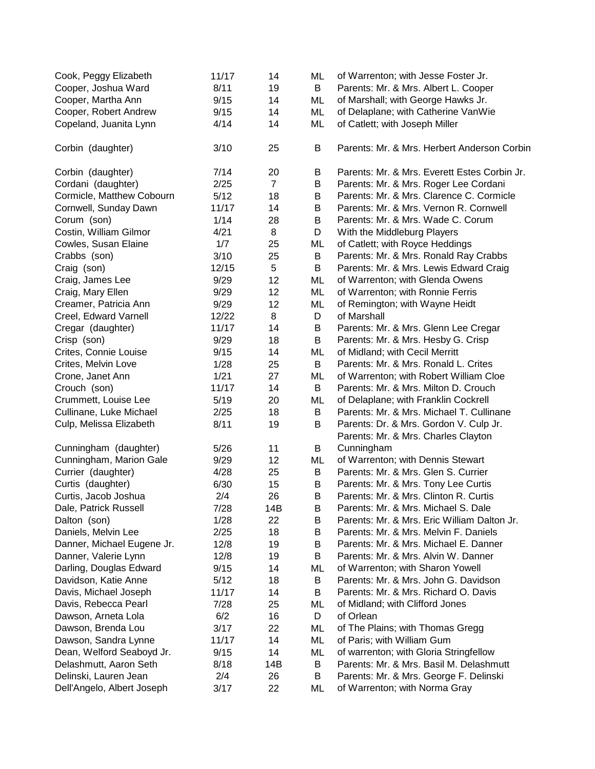| Cook, Peggy Elizabeth      | 11/17 | 14             | ML | of Warrenton; with Jesse Foster Jr.          |
|----------------------------|-------|----------------|----|----------------------------------------------|
| Cooper, Joshua Ward        | 8/11  | 19             | B  | Parents: Mr. & Mrs. Albert L. Cooper         |
| Cooper, Martha Ann         | 9/15  | 14             | ML | of Marshall; with George Hawks Jr.           |
| Cooper, Robert Andrew      | 9/15  | 14             | ML | of Delaplane; with Catherine VanWie          |
| Copeland, Juanita Lynn     | 4/14  | 14             | ML | of Catlett; with Joseph Miller               |
| Corbin (daughter)          | 3/10  | 25             | В  | Parents: Mr. & Mrs. Herbert Anderson Corbin  |
| Corbin (daughter)          | 7/14  | 20             | B  | Parents: Mr. & Mrs. Everett Estes Corbin Jr. |
| Cordani (daughter)         | 2/25  | $\overline{7}$ | B  | Parents: Mr. & Mrs. Roger Lee Cordani        |
| Cormicle, Matthew Cobourn  | 5/12  | 18             | B  | Parents: Mr. & Mrs. Clarence C. Cormicle     |
| Cornwell, Sunday Dawn      | 11/17 | 14             | В  | Parents: Mr. & Mrs. Vernon R. Cornwell       |
| Corum (son)                | 1/14  | 28             | В  | Parents: Mr. & Mrs. Wade C. Corum            |
| Costin, William Gilmor     | 4/21  | 8              | D  | With the Middleburg Players                  |
| Cowles, Susan Elaine       | 1/7   | 25             | ML | of Catlett; with Royce Heddings              |
| Crabbs (son)               | 3/10  | 25             | B  | Parents: Mr. & Mrs. Ronald Ray Crabbs        |
| Craig (son)                | 12/15 | 5              | B  | Parents: Mr. & Mrs. Lewis Edward Craig       |
| Craig, James Lee           | 9/29  | 12             | ML | of Warrenton; with Glenda Owens              |
| Craig, Mary Ellen          | 9/29  | 12             | ML | of Warrenton; with Ronnie Ferris             |
| Creamer, Patricia Ann      | 9/29  | 12             | ML | of Remington; with Wayne Heidt               |
| Creel, Edward Varnell      | 12/22 | 8              | D  | of Marshall                                  |
| Cregar (daughter)          | 11/17 | 14             | В  | Parents: Mr. & Mrs. Glenn Lee Cregar         |
| Crisp (son)                | 9/29  | 18             | B  | Parents: Mr. & Mrs. Hesby G. Crisp           |
| Crites, Connie Louise      | 9/15  | 14             | ML | of Midland; with Cecil Merritt               |
| Crites, Melvin Love        | 1/28  | 25             | B  | Parents: Mr. & Mrs. Ronald L. Crites         |
| Crone, Janet Ann           | 1/21  | 27             | ML | of Warrenton; with Robert William Cloe       |
| Crouch (son)               | 11/17 | 14             | B  | Parents: Mr. & Mrs. Milton D. Crouch         |
| Crummett, Louise Lee       | 5/19  | 20             | ML | of Delaplane; with Franklin Cockrell         |
| Cullinane, Luke Michael    | 2/25  | 18             | B  | Parents: Mr. & Mrs. Michael T. Cullinane     |
| Culp, Melissa Elizabeth    | 8/11  | 19             | B  | Parents: Dr. & Mrs. Gordon V. Culp Jr.       |
|                            |       |                |    | Parents: Mr. & Mrs. Charles Clayton          |
| Cunningham (daughter)      | 5/26  | 11             | B  | Cunningham                                   |
| Cunningham, Marion Gale    | 9/29  | 12             | ML | of Warrenton; with Dennis Stewart            |
| Currier (daughter)         | 4/28  | 25             | B  | Parents: Mr. & Mrs. Glen S. Currier          |
| Curtis (daughter)          | 6/30  | 15             | В  | Parents: Mr. & Mrs. Tony Lee Curtis          |
| Curtis, Jacob Joshua       | 2/4   | 26             | В  | Parents: Mr. & Mrs. Clinton R. Curtis        |
| Dale, Patrick Russell      | 7/28  | 14B            | В  | Parents: Mr. & Mrs. Michael S. Dale          |
| Dalton (son)               | 1/28  | 22             | В  | Parents: Mr. & Mrs. Eric William Dalton Jr.  |
| Daniels, Melvin Lee        | 2/25  | 18             | В  | Parents: Mr. & Mrs. Melvin F. Daniels        |
| Danner, Michael Eugene Jr. | 12/8  | 19             | В  | Parents: Mr. & Mrs. Michael E. Danner        |
| Danner, Valerie Lynn       | 12/8  | 19             | B  | Parents: Mr. & Mrs. Alvin W. Danner          |
| Darling, Douglas Edward    | 9/15  | 14             | ML | of Warrenton; with Sharon Yowell             |
| Davidson, Katie Anne       | 5/12  | 18             | В  | Parents: Mr. & Mrs. John G. Davidson         |
| Davis, Michael Joseph      | 11/17 | 14             | B  | Parents: Mr. & Mrs. Richard O. Davis         |
| Davis, Rebecca Pearl       | 7/28  | 25             | ML | of Midland; with Clifford Jones              |
| Dawson, Arneta Lola        | 6/2   | 16             | D  | of Orlean                                    |
| Dawson, Brenda Lou         | 3/17  | 22             | ML | of The Plains; with Thomas Gregg             |
| Dawson, Sandra Lynne       | 11/17 | 14             | ML | of Paris; with William Gum                   |
| Dean, Welford Seaboyd Jr.  | 9/15  | 14             | ML | of warrenton; with Gloria Stringfellow       |
| Delashmutt, Aaron Seth     | 8/18  | 14B            | В  | Parents: Mr. & Mrs. Basil M. Delashmutt      |
| Delinski, Lauren Jean      | 2/4   | 26             | B  | Parents: Mr. & Mrs. George F. Delinski       |
| Dell'Angelo, Albert Joseph | 3/17  | 22             | ML | of Warrenton; with Norma Gray                |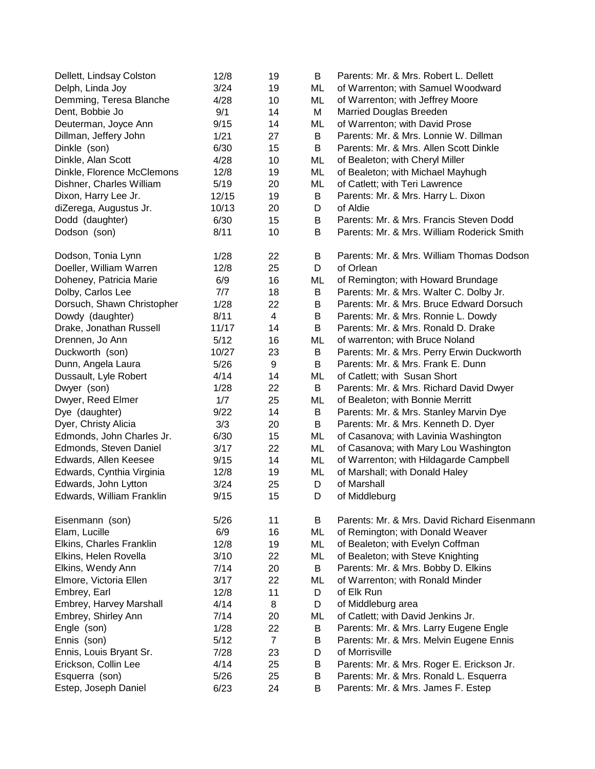| Dellett, Lindsay Colston   | 12/8  | 19                      | B  | Parents: Mr. & Mrs. Robert L. Dellett       |
|----------------------------|-------|-------------------------|----|---------------------------------------------|
| Delph, Linda Joy           | 3/24  | 19                      | ML | of Warrenton; with Samuel Woodward          |
| Demming, Teresa Blanche    | 4/28  | 10                      | ML | of Warrenton; with Jeffrey Moore            |
| Dent, Bobbie Jo            | 9/1   | 14                      | M  | Married Douglas Breeden                     |
| Deuterman, Joyce Ann       | 9/15  | 14                      | ML | of Warrenton; with David Prose              |
| Dillman, Jeffery John      | 1/21  | 27                      | B  | Parents: Mr. & Mrs. Lonnie W. Dillman       |
| Dinkle (son)               | 6/30  | 15                      | B  | Parents: Mr. & Mrs. Allen Scott Dinkle      |
| Dinkle, Alan Scott         | 4/28  | 10                      | ML | of Bealeton; with Cheryl Miller             |
| Dinkle, Florence McClemons | 12/8  | 19                      | ML | of Bealeton; with Michael Mayhugh           |
| Dishner, Charles William   | 5/19  | 20                      | ML | of Catlett; with Teri Lawrence              |
| Dixon, Harry Lee Jr.       | 12/15 | 19                      | В  | Parents: Mr. & Mrs. Harry L. Dixon          |
| diZerega, Augustus Jr.     | 10/13 | 20                      | D  | of Aldie                                    |
| Dodd (daughter)            | 6/30  | 15                      | В  | Parents: Mr. & Mrs. Francis Steven Dodd     |
| Dodson (son)               | 8/11  | 10                      | B  | Parents: Mr. & Mrs. William Roderick Smith  |
| Dodson, Tonia Lynn         | 1/28  | 22                      | В  | Parents: Mr. & Mrs. William Thomas Dodson   |
| Doeller, William Warren    | 12/8  | 25                      | D  | of Orlean                                   |
| Doheney, Patricia Marie    | 6/9   | 16                      | ML | of Remington; with Howard Brundage          |
| Dolby, Carlos Lee          | 7/7   | 18                      | B  | Parents: Mr. & Mrs. Walter C. Dolby Jr.     |
| Dorsuch, Shawn Christopher | 1/28  | 22                      | B  | Parents: Mr. & Mrs. Bruce Edward Dorsuch    |
| Dowdy (daughter)           | 8/11  | $\overline{\mathbf{4}}$ | B  | Parents: Mr. & Mrs. Ronnie L. Dowdy         |
| Drake, Jonathan Russell    | 11/17 | 14                      | B  | Parents: Mr. & Mrs. Ronald D. Drake         |
| Drennen, Jo Ann            | 5/12  | 16                      | ML | of warrenton; with Bruce Noland             |
| Duckworth (son)            | 10/27 | 23                      | В  | Parents: Mr. & Mrs. Perry Erwin Duckworth   |
| Dunn, Angela Laura         | 5/26  | 9                       | B  | Parents: Mr. & Mrs. Frank E. Dunn           |
| Dussault, Lyle Robert      | 4/14  | 14                      | ML | of Catlett; with Susan Short                |
| Dwyer (son)                | 1/28  | 22                      | B  | Parents: Mr. & Mrs. Richard David Dwyer     |
| Dwyer, Reed Elmer          | 1/7   | 25                      | ML | of Bealeton; with Bonnie Merritt            |
| Dye (daughter)             | 9/22  | 14                      | B  | Parents: Mr. & Mrs. Stanley Marvin Dye      |
| Dyer, Christy Alicia       | 3/3   | 20                      | В  | Parents: Mr. & Mrs. Kenneth D. Dyer         |
| Edmonds, John Charles Jr.  | 6/30  | 15                      | ML | of Casanova; with Lavinia Washington        |
| Edmonds, Steven Daniel     | 3/17  | 22                      | ML | of Casanova; with Mary Lou Washington       |
| Edwards, Allen Keesee      | 9/15  | 14                      | ML | of Warrenton; with Hildagarde Campbell      |
| Edwards, Cynthia Virginia  | 12/8  | 19                      | ML | of Marshall; with Donald Haley              |
| Edwards, John Lytton       | 3/24  | 25                      | D  | of Marshall                                 |
| Edwards, William Franklin  | 9/15  | 15                      | D  | of Middleburg                               |
| Eisenmann (son)            | 5/26  | 11                      | B  | Parents: Mr. & Mrs. David Richard Eisenmann |
| Elam, Lucille              | 6/9   | 16                      | ML | of Remington; with Donald Weaver            |
| Elkins, Charles Franklin   | 12/8  | 19                      | ML | of Bealeton; with Evelyn Coffman            |
| Elkins, Helen Rovella      | 3/10  | 22                      | ML | of Bealeton; with Steve Knighting           |
| Elkins, Wendy Ann          | 7/14  | 20                      | B  | Parents: Mr. & Mrs. Bobby D. Elkins         |
| Elmore, Victoria Ellen     | 3/17  | 22                      | ML | of Warrenton; with Ronald Minder            |
| Embrey, Earl               | 12/8  | 11                      | D  | of Elk Run                                  |
| Embrey, Harvey Marshall    | 4/14  | 8                       | D  | of Middleburg area                          |
| Embrey, Shirley Ann        | 7/14  | 20                      | ML | of Catlett; with David Jenkins Jr.          |
| Engle (son)                | 1/28  | 22                      | В  | Parents: Mr. & Mrs. Larry Eugene Engle      |
| Ennis (son)                | 5/12  | $\overline{7}$          | В  | Parents: Mr. & Mrs. Melvin Eugene Ennis     |
| Ennis, Louis Bryant Sr.    | 7/28  | 23                      | D  | of Morrisville                              |
| Erickson, Collin Lee       | 4/14  | 25                      | В  | Parents: Mr. & Mrs. Roger E. Erickson Jr.   |
| Esquerra (son)             | 5/26  | 25                      | В  | Parents: Mr. & Mrs. Ronald L. Esquerra      |
| Estep, Joseph Daniel       | 6/23  | 24                      | B  | Parents: Mr. & Mrs. James F. Estep          |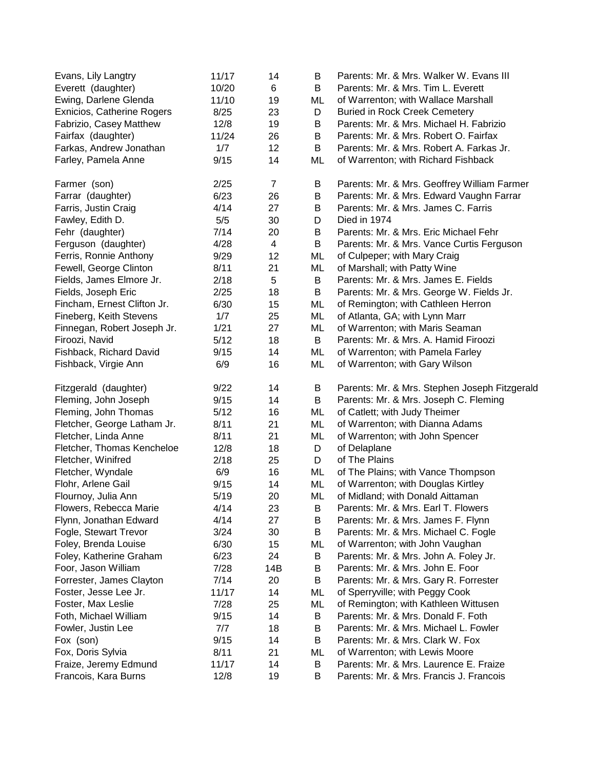| Evans, Lily Langtry         | 11/17 | 14                      | В  | Parents: Mr. & Mrs. Walker W. Evans III       |
|-----------------------------|-------|-------------------------|----|-----------------------------------------------|
| Everett (daughter)          | 10/20 | 6                       | В  | Parents: Mr. & Mrs. Tim L. Everett            |
| Ewing, Darlene Glenda       | 11/10 | 19                      | ML | of Warrenton; with Wallace Marshall           |
| Exnicios, Catherine Rogers  | 8/25  | 23                      | D  | <b>Buried in Rock Creek Cemetery</b>          |
| Fabrizio, Casey Matthew     | 12/8  | 19                      | В  | Parents: Mr. & Mrs. Michael H. Fabrizio       |
| Fairfax (daughter)          | 11/24 | 26                      | В  | Parents: Mr. & Mrs. Robert O. Fairfax         |
| Farkas, Andrew Jonathan     | 1/7   | 12                      | B  | Parents: Mr. & Mrs. Robert A. Farkas Jr.      |
| Farley, Pamela Anne         | 9/15  | 14                      | ML | of Warrenton; with Richard Fishback           |
| Farmer (son)                | 2/25  | $\overline{7}$          | Β  | Parents: Mr. & Mrs. Geoffrey William Farmer   |
| Farrar (daughter)           | 6/23  | 26                      | Β  | Parents: Mr. & Mrs. Edward Vaughn Farrar      |
| Farris, Justin Craig        | 4/14  | 27                      | Β  | Parents: Mr. & Mrs. James C. Farris           |
| Fawley, Edith D.            | 5/5   | 30                      | D  | Died in 1974                                  |
| Fehr (daughter)             | 7/14  | 20                      | В  | Parents: Mr. & Mrs. Eric Michael Fehr         |
| Ferguson (daughter)         | 4/28  | $\overline{\mathbf{4}}$ | В  | Parents: Mr. & Mrs. Vance Curtis Ferguson     |
| Ferris, Ronnie Anthony      | 9/29  | 12                      | ML | of Culpeper; with Mary Craig                  |
| Fewell, George Clinton      | 8/11  | 21                      | ML | of Marshall; with Patty Wine                  |
| Fields, James Elmore Jr.    | 2/18  | $\mathbf 5$             | B  | Parents: Mr. & Mrs. James E. Fields           |
| Fields, Joseph Eric         | 2/25  | 18                      | B  | Parents: Mr. & Mrs. George W. Fields Jr.      |
| Fincham, Ernest Clifton Jr. | 6/30  | 15                      | ML | of Remington; with Cathleen Herron            |
| Fineberg, Keith Stevens     | 1/7   | 25                      | ML | of Atlanta, GA; with Lynn Marr                |
| Finnegan, Robert Joseph Jr. | 1/21  | 27                      | ML | of Warrenton; with Maris Seaman               |
| Firoozi, Navid              | 5/12  | 18                      | B  | Parents: Mr. & Mrs. A. Hamid Firoozi          |
| Fishback, Richard David     | 9/15  | 14                      | ML | of Warrenton; with Pamela Farley              |
| Fishback, Virgie Ann        | 6/9   | 16                      | ML | of Warrenton; with Gary Wilson                |
| Fitzgerald (daughter)       | 9/22  | 14                      | Β  | Parents: Mr. & Mrs. Stephen Joseph Fitzgerald |
| Fleming, John Joseph        | 9/15  | 14                      | B  | Parents: Mr. & Mrs. Joseph C. Fleming         |
| Fleming, John Thomas        | 5/12  | 16                      | ML | of Catlett; with Judy Theimer                 |
| Fletcher, George Latham Jr. | 8/11  | 21                      | ML | of Warrenton; with Dianna Adams               |
| Fletcher, Linda Anne        | 8/11  | 21                      | ML | of Warrenton; with John Spencer               |
| Fletcher, Thomas Kencheloe  | 12/8  | 18                      | D  | of Delaplane                                  |
| Fletcher, Winifred          | 2/18  | 25                      | D  | of The Plains                                 |
| Fletcher, Wyndale           | 6/9   | 16                      | ML | of The Plains; with Vance Thompson            |
| Flohr, Arlene Gail          | 9/15  | 14                      | ML | of Warrenton; with Douglas Kirtley            |
| Flournoy, Julia Ann         | 5/19  | 20                      | ML | of Midland; with Donald Aittaman              |
| Flowers, Rebecca Marie      | 4/14  | 23                      | Β  | Parents: Mr. & Mrs. Earl T. Flowers           |
| Flynn, Jonathan Edward      | 4/14  | 27                      | Β  | Parents: Mr. & Mrs. James F. Flynn            |
| Fogle, Stewart Trevor       | 3/24  | 30                      | В  | Parents: Mr. & Mrs. Michael C. Fogle          |
| Foley, Brenda Louise        | 6/30  | 15                      | ML | of Warrenton; with John Vaughan               |
| Foley, Katherine Graham     | 6/23  | 24                      | Β  | Parents: Mr. & Mrs. John A. Foley Jr.         |
| Foor, Jason William         | 7/28  | 14B                     | Β  | Parents: Mr. & Mrs. John E. Foor              |
| Forrester, James Clayton    | 7/14  | 20                      | B  | Parents: Mr. & Mrs. Gary R. Forrester         |
| Foster, Jesse Lee Jr.       | 11/17 | 14                      | ML | of Sperryville; with Peggy Cook               |
| Foster, Max Leslie          | 7/28  | 25                      | ML | of Remington; with Kathleen Wittusen          |
| Foth, Michael William       | 9/15  | 14                      | Β  | Parents: Mr. & Mrs. Donald F. Foth            |
| Fowler, Justin Lee          | 7/7   | 18                      | В  | Parents: Mr. & Mrs. Michael L. Fowler         |
| Fox (son)                   | 9/15  | 14                      | В  | Parents: Mr. & Mrs. Clark W. Fox              |
| Fox, Doris Sylvia           | 8/11  | 21                      | ML | of Warrenton; with Lewis Moore                |
| Fraize, Jeremy Edmund       | 11/17 | 14                      | В  | Parents: Mr. & Mrs. Laurence E. Fraize        |
| Francois, Kara Burns        | 12/8  | 19                      | В  | Parents: Mr. & Mrs. Francis J. Francois       |
|                             |       |                         |    |                                               |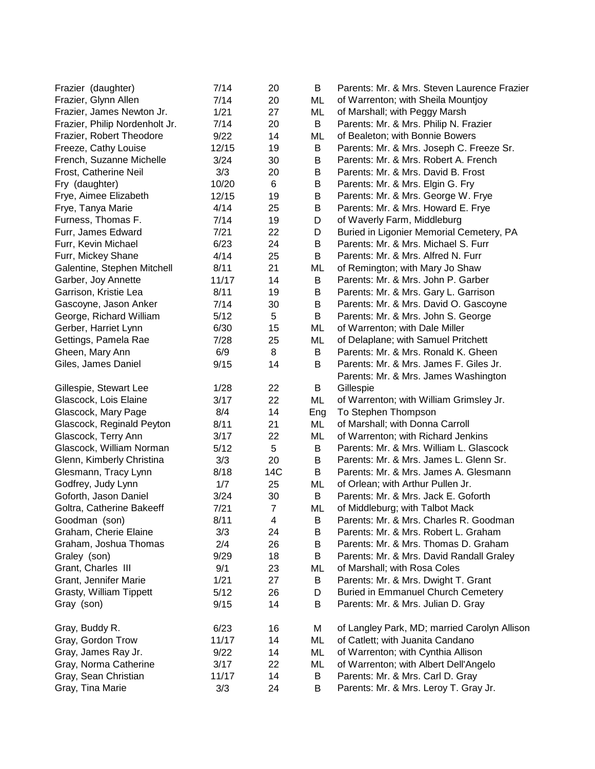| Frazier (daughter)             | 7/14   | 20             | B   | Parents: Mr. & Mrs. Steven Laurence Frazier                                      |
|--------------------------------|--------|----------------|-----|----------------------------------------------------------------------------------|
| Frazier, Glynn Allen           | 7/14   | 20             | ML  | of Warrenton; with Sheila Mountjoy                                               |
| Frazier, James Newton Jr.      | 1/21   | 27             | ML  | of Marshall; with Peggy Marsh                                                    |
| Frazier, Philip Nordenholt Jr. | 7/14   | 20             | B   | Parents: Mr. & Mrs. Philip N. Frazier                                            |
| Frazier, Robert Theodore       | 9/22   | 14             | ML  | of Bealeton; with Bonnie Bowers                                                  |
| Freeze, Cathy Louise           | 12/15  | 19             | B   | Parents: Mr. & Mrs. Joseph C. Freeze Sr.                                         |
| French, Suzanne Michelle       | 3/24   | 30             | B   | Parents: Mr. & Mrs. Robert A. French                                             |
| Frost, Catherine Neil          | 3/3    | 20             | B   | Parents: Mr. & Mrs. David B. Frost                                               |
| Fry (daughter)                 | 10/20  | 6              | B   | Parents: Mr. & Mrs. Elgin G. Fry                                                 |
| Frye, Aimee Elizabeth          | 12/15  | 19             | B   | Parents: Mr. & Mrs. George W. Frye                                               |
| Frye, Tanya Marie              | 4/14   | 25             | B   | Parents: Mr. & Mrs. Howard E. Frye                                               |
| Furness, Thomas F.             | 7/14   | 19             | D   | of Waverly Farm, Middleburg                                                      |
| Furr, James Edward             | 7/21   | 22             | D   | Buried in Ligonier Memorial Cemetery, PA                                         |
| Furr, Kevin Michael            | 6/23   | 24             | B   | Parents: Mr. & Mrs. Michael S. Furr                                              |
| Furr, Mickey Shane             | 4/14   | 25             | B   | Parents: Mr. & Mrs. Alfred N. Furr                                               |
| Galentine, Stephen Mitchell    | 8/11   | 21             | ML  | of Remington; with Mary Jo Shaw                                                  |
| Garber, Joy Annette            | 11/17  | 14             | B   | Parents: Mr. & Mrs. John P. Garber                                               |
| Garrison, Kristie Lea          | 8/11   | 19             | B   | Parents: Mr. & Mrs. Gary L. Garrison                                             |
| Gascoyne, Jason Anker          | 7/14   | 30             | B   | Parents: Mr. & Mrs. David O. Gascoyne                                            |
| George, Richard William        | 5/12   | 5              | B   | Parents: Mr. & Mrs. John S. George                                               |
| Gerber, Harriet Lynn           | 6/30   | 15             | ML  | of Warrenton; with Dale Miller                                                   |
| Gettings, Pamela Rae           | 7/28   | 25             | ML  | of Delaplane; with Samuel Pritchett                                              |
| Gheen, Mary Ann                | 6/9    | 8              | B   | Parents: Mr. & Mrs. Ronald K. Gheen                                              |
| Giles, James Daniel            | 9/15   | 14             | B   | Parents: Mr. & Mrs. James F. Giles Jr.                                           |
|                                |        |                |     | Parents: Mr. & Mrs. James Washington                                             |
| Gillespie, Stewart Lee         | 1/28   | 22             | B   | Gillespie                                                                        |
| Glascock, Lois Elaine          | 3/17   | 22             | ML  | of Warrenton; with William Grimsley Jr.                                          |
| Glascock, Mary Page            | 8/4    | 14             | Eng | To Stephen Thompson                                                              |
| Glascock, Reginald Peyton      | 8/11   | 21             | ML  | of Marshall; with Donna Carroll                                                  |
| Glascock, Terry Ann            | 3/17   | 22             | ML  | of Warrenton; with Richard Jenkins                                               |
| Glascock, William Norman       | 5/12   | 5              | B   | Parents: Mr. & Mrs. William L. Glascock                                          |
| Glenn, Kimberly Christina      | 3/3    | 20             | B   | Parents: Mr. & Mrs. James L. Glenn Sr.                                           |
| Glesmann, Tracy Lynn           | 8/18   | 14C            | B   | Parents: Mr. & Mrs. James A. Glesmann                                            |
| Godfrey, Judy Lynn             | 1/7    | 25             | ML  | of Orlean; with Arthur Pullen Jr.                                                |
| Goforth, Jason Daniel          | 3/24   | 30             | B   | Parents: Mr. & Mrs. Jack E. Goforth                                              |
| Goltra, Catherine Bakeeff      | 7/21   | $\overline{7}$ | ML  | of Middleburg; with Talbot Mack                                                  |
| Goodman (son)                  | 8/11   | 4              | B   | Parents: Mr. & Mrs. Charles R. Goodman                                           |
| Graham, Cherie Elaine          | 3/3    | 24             | B   | Parents: Mr. & Mrs. Robert L. Graham                                             |
| Graham, Joshua Thomas          | 2/4    | 26             | B   | Parents: Mr. & Mrs. Thomas D. Graham                                             |
| Graley (son)                   | 9/29   | 18             | B   | Parents: Mr. & Mrs. David Randall Graley                                         |
| Grant, Charles III             | 9/1    | 23             | ML  | of Marshall; with Rosa Coles                                                     |
| Grant, Jennifer Marie          | 1/21   | 27             | B   | Parents: Mr. & Mrs. Dwight T. Grant                                              |
| Grasty, William Tippett        | $5/12$ | 26             | D   | <b>Buried in Emmanuel Church Cemetery</b>                                        |
| Gray (son)                     | 9/15   | 14             | B   | Parents: Mr. & Mrs. Julian D. Gray                                               |
| Gray, Buddy R.                 | 6/23   | 16             | M   |                                                                                  |
| Gray, Gordon Trow              | 11/17  | 14             | ML  | of Langley Park, MD; married Carolyn Allison<br>of Catlett; with Juanita Candano |
| Gray, James Ray Jr.            | 9/22   | 14             | ML  | of Warrenton; with Cynthia Allison                                               |
| Gray, Norma Catherine          | 3/17   |                | ML  | of Warrenton; with Albert Dell'Angelo                                            |
| Gray, Sean Christian           | 11/17  | 22<br>14       | B   | Parents: Mr. & Mrs. Carl D. Gray                                                 |
|                                |        |                |     |                                                                                  |
| Gray, Tina Marie               | 3/3    | 24             | B   | Parents: Mr. & Mrs. Leroy T. Gray Jr.                                            |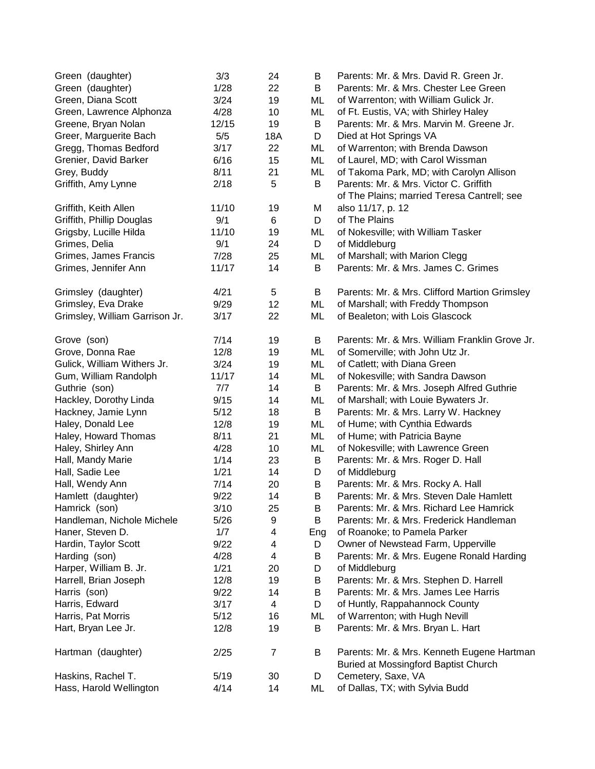| Green (daughter)               | 3/3    | 24             | В   | Parents: Mr. & Mrs. David R. Green Jr.                                             |
|--------------------------------|--------|----------------|-----|------------------------------------------------------------------------------------|
| Green (daughter)               | 1/28   | 22             | B   | Parents: Mr. & Mrs. Chester Lee Green                                              |
| Green, Diana Scott             | 3/24   | 19             | ML  | of Warrenton; with William Gulick Jr.                                              |
| Green, Lawrence Alphonza       | 4/28   | 10             | ML  | of Ft. Eustis, VA; with Shirley Haley                                              |
| Greene, Bryan Nolan            | 12/15  | 19             | B   | Parents: Mr. & Mrs. Marvin M. Greene Jr.                                           |
| Greer, Marguerite Bach         | 5/5    | 18A            | D   | Died at Hot Springs VA                                                             |
| Gregg, Thomas Bedford          | 3/17   | 22             | ML  | of Warrenton; with Brenda Dawson                                                   |
| Grenier, David Barker          | 6/16   | 15             | ML  | of Laurel, MD; with Carol Wissman                                                  |
| Grey, Buddy                    | 8/11   | 21             | ML  | of Takoma Park, MD; with Carolyn Allison                                           |
| Griffith, Amy Lynne            | 2/18   | 5              | B   | Parents: Mr. & Mrs. Victor C. Griffith                                             |
|                                |        |                |     | of The Plains; married Teresa Cantrell; see                                        |
| Griffith, Keith Allen          | 11/10  | 19             | M   | also 11/17, p. 12                                                                  |
| Griffith, Phillip Douglas      | 9/1    | 6              | D   | of The Plains                                                                      |
| Grigsby, Lucille Hilda         | 11/10  | 19             | ML  | of Nokesville; with William Tasker                                                 |
| Grimes, Delia                  | 9/1    | 24             | D   | of Middleburg                                                                      |
| Grimes, James Francis          | 7/28   | 25             | ML  | of Marshall; with Marion Clegg                                                     |
| Grimes, Jennifer Ann           | 11/17  | 14             | В   | Parents: Mr. & Mrs. James C. Grimes                                                |
|                                |        |                |     |                                                                                    |
| Grimsley (daughter)            | 4/21   | $\mathbf 5$    | В   | Parents: Mr. & Mrs. Clifford Martion Grimsley                                      |
| Grimsley, Eva Drake            | 9/29   | 12             | ML  | of Marshall; with Freddy Thompson                                                  |
| Grimsley, William Garrison Jr. | 3/17   | 22             | ML  | of Bealeton; with Lois Glascock                                                    |
| Grove (son)                    | 7/14   | 19             | B   | Parents: Mr. & Mrs. William Franklin Grove Jr.                                     |
| Grove, Donna Rae               | 12/8   | 19             | ML  | of Somerville; with John Utz Jr.                                                   |
| Gulick, William Withers Jr.    | 3/24   | 19             | ML  | of Catlett; with Diana Green                                                       |
| Gum, William Randolph          | 11/17  | 14             | ML  | of Nokesville; with Sandra Dawson                                                  |
| Guthrie (son)                  | 7/7    | 14             | B   | Parents: Mr. & Mrs. Joseph Alfred Guthrie                                          |
| Hackley, Dorothy Linda         | 9/15   | 14             | ML  | of Marshall; with Louie Bywaters Jr.                                               |
| Hackney, Jamie Lynn            | $5/12$ | 18             | B   | Parents: Mr. & Mrs. Larry W. Hackney                                               |
| Haley, Donald Lee              | 12/8   | 19             | ML  | of Hume; with Cynthia Edwards                                                      |
| Haley, Howard Thomas           | 8/11   | 21             | ML  | of Hume; with Patricia Bayne                                                       |
| Haley, Shirley Ann             | 4/28   | 10             | ML  | of Nokesville; with Lawrence Green                                                 |
| Hall, Mandy Marie              | 1/14   | 23             | В   | Parents: Mr. & Mrs. Roger D. Hall                                                  |
| Hall, Sadie Lee                | 1/21   | 14             | D   | of Middleburg                                                                      |
| Hall, Wendy Ann                | 7/14   | 20             | B   | Parents: Mr. & Mrs. Rocky A. Hall                                                  |
| Hamlett (daughter)             | 9/22   | 14             | B   | Parents: Mr. & Mrs. Steven Dale Hamlett                                            |
| Hamrick (son)                  | 3/10   | 25             | B   | Parents: Mr. & Mrs. Richard Lee Hamrick                                            |
| Handleman, Nichole Michele     | 5/26   | 9              | B   | Parents: Mr. & Mrs. Frederick Handleman                                            |
| Haner, Steven D.               | 1/7    | 4              | Eng | of Roanoke; to Pamela Parker                                                       |
| Hardin, Taylor Scott           | 9/22   | 4              | D   | Owner of Newstead Farm, Upperville                                                 |
| Harding (son)                  | 4/28   | 4              | В   | Parents: Mr. & Mrs. Eugene Ronald Harding                                          |
| Harper, William B. Jr.         | 1/21   | 20             | D   | of Middleburg                                                                      |
| Harrell, Brian Joseph          | 12/8   | 19             | B   | Parents: Mr. & Mrs. Stephen D. Harrell                                             |
| Harris (son)                   | 9/22   | 14             | Β   | Parents: Mr. & Mrs. James Lee Harris                                               |
| Harris, Edward                 | 3/17   | 4              | D   | of Huntly, Rappahannock County                                                     |
| Harris, Pat Morris             | 5/12   | 16             | ML  | of Warrenton; with Hugh Nevill                                                     |
| Hart, Bryan Lee Jr.            | 12/8   | 19             | B   | Parents: Mr. & Mrs. Bryan L. Hart                                                  |
|                                |        |                |     |                                                                                    |
| Hartman (daughter)             | 2/25   | $\overline{7}$ | B   | Parents: Mr. & Mrs. Kenneth Eugene Hartman<br>Buried at Mossingford Baptist Church |
| Haskins, Rachel T.             | 5/19   | 30             | D   | Cemetery, Saxe, VA                                                                 |
| Hass, Harold Wellington        | 4/14   | 14             | ML  | of Dallas, TX; with Sylvia Budd                                                    |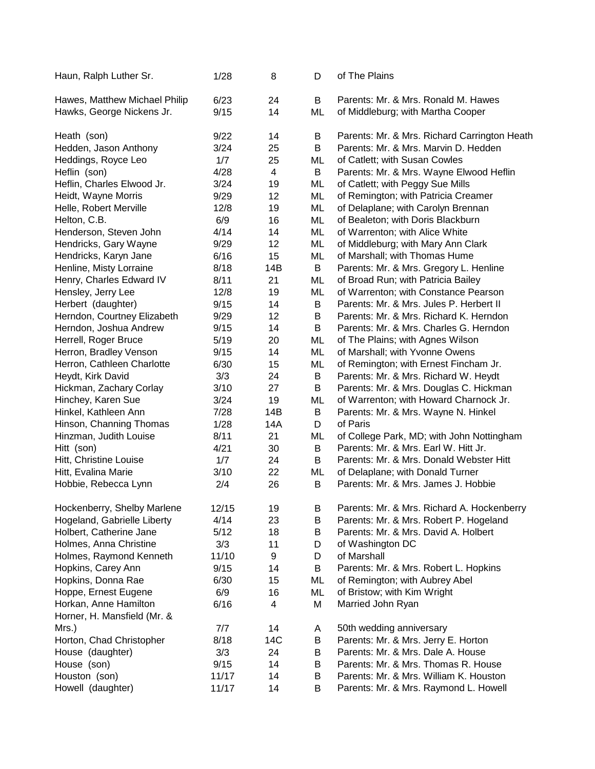| Haun, Ralph Luther Sr.        | 1/28  | 8                        | D  | of The Plains                                |
|-------------------------------|-------|--------------------------|----|----------------------------------------------|
| Hawes, Matthew Michael Philip | 6/23  | 24                       | B  | Parents: Mr. & Mrs. Ronald M. Hawes          |
| Hawks, George Nickens Jr.     | 9/15  | 14                       | ML | of Middleburg; with Martha Cooper            |
| Heath (son)                   | 9/22  | 14                       | B  | Parents: Mr. & Mrs. Richard Carrington Heath |
| Hedden, Jason Anthony         | 3/24  | 25                       | B  | Parents: Mr. & Mrs. Marvin D. Hedden         |
| Heddings, Royce Leo           | 1/7   | 25                       | ML | of Catlett; with Susan Cowles                |
| Heflin (son)                  | 4/28  | $\overline{\mathcal{A}}$ | B  | Parents: Mr. & Mrs. Wayne Elwood Heflin      |
| Heflin, Charles Elwood Jr.    | 3/24  | 19                       | ML | of Catlett; with Peggy Sue Mills             |
| Heidt, Wayne Morris           | 9/29  | 12                       | ML | of Remington; with Patricia Creamer          |
| Helle, Robert Merville        | 12/8  | 19                       | ML | of Delaplane; with Carolyn Brennan           |
| Helton, C.B.                  | 6/9   | 16                       | ML | of Bealeton; with Doris Blackburn            |
| Henderson, Steven John        | 4/14  | 14                       | ML | of Warrenton; with Alice White               |
| Hendricks, Gary Wayne         | 9/29  | 12                       | ML | of Middleburg; with Mary Ann Clark           |
| Hendricks, Karyn Jane         | 6/16  | 15                       | ML | of Marshall; with Thomas Hume                |
| Henline, Misty Lorraine       | 8/18  | 14B                      | B  | Parents: Mr. & Mrs. Gregory L. Henline       |
| Henry, Charles Edward IV      | 8/11  | 21                       | ML | of Broad Run; with Patricia Bailey           |
| Hensley, Jerry Lee            | 12/8  | 19                       | ML | of Warrenton; with Constance Pearson         |
| Herbert (daughter)            | 9/15  | 14                       | B  | Parents: Mr. & Mrs. Jules P. Herbert II      |
| Herndon, Courtney Elizabeth   | 9/29  | 12                       | B  | Parents: Mr. & Mrs. Richard K. Herndon       |
| Herndon, Joshua Andrew        | 9/15  | 14                       | B  | Parents: Mr. & Mrs. Charles G. Herndon       |
| Herrell, Roger Bruce          | 5/19  | 20                       | ML | of The Plains; with Agnes Wilson             |
| Herron, Bradley Venson        | 9/15  | 14                       | ML | of Marshall; with Yvonne Owens               |
| Herron, Cathleen Charlotte    | 6/30  | 15                       | ML | of Remington; with Ernest Fincham Jr.        |
| Heydt, Kirk David             | 3/3   | 24                       | B  | Parents: Mr. & Mrs. Richard W. Heydt         |
| Hickman, Zachary Corlay       | 3/10  | 27                       | B  | Parents: Mr. & Mrs. Douglas C. Hickman       |
| Hinchey, Karen Sue            | 3/24  | 19                       | ML | of Warrenton; with Howard Charnock Jr.       |
| Hinkel, Kathleen Ann          | 7/28  | 14B                      | B  | Parents: Mr. & Mrs. Wayne N. Hinkel          |
| Hinson, Channing Thomas       | 1/28  | 14A                      | D  | of Paris                                     |
| Hinzman, Judith Louise        | 8/11  | 21                       | ML | of College Park, MD; with John Nottingham    |
| Hitt (son)                    | 4/21  | 30                       | B  | Parents: Mr. & Mrs. Earl W. Hitt Jr.         |
| Hitt, Christine Louise        | 1/7   | 24                       | B  | Parents: Mr. & Mrs. Donald Webster Hitt      |
| Hitt, Evalina Marie           | 3/10  | 22                       | ML | of Delaplane; with Donald Turner             |
| Hobbie, Rebecca Lynn          | 2/4   | 26                       | B  | Parents: Mr. & Mrs. James J. Hobbie          |
| Hockenberry, Shelby Marlene   | 12/15 | 19                       | Β  | Parents: Mr. & Mrs. Richard A. Hockenberry   |
| Hogeland, Gabrielle Liberty   | 4/14  | 23                       | B  | Parents: Mr. & Mrs. Robert P. Hogeland       |
| Holbert, Catherine Jane       | 5/12  | 18                       | B  | Parents: Mr. & Mrs. David A. Holbert         |
| Holmes, Anna Christine        | 3/3   | 11                       | D  | of Washington DC                             |
| Holmes, Raymond Kenneth       | 11/10 | 9                        | D  | of Marshall                                  |
| Hopkins, Carey Ann            | 9/15  | 14                       | В  | Parents: Mr. & Mrs. Robert L. Hopkins        |
| Hopkins, Donna Rae            | 6/30  | 15                       | ML | of Remington; with Aubrey Abel               |
| Hoppe, Ernest Eugene          | 6/9   | 16                       | ML | of Bristow; with Kim Wright                  |
| Horkan, Anne Hamilton         | 6/16  | 4                        | M  | Married John Ryan                            |
| Horner, H. Mansfield (Mr. &   |       |                          |    |                                              |
| Mrs.)                         | 7/7   | 14                       | A  | 50th wedding anniversary                     |
| Horton, Chad Christopher      | 8/18  | 14C                      | В  | Parents: Mr. & Mrs. Jerry E. Horton          |
| House (daughter)              | 3/3   | 24                       | В  | Parents: Mr. & Mrs. Dale A. House            |
| House (son)                   | 9/15  | 14                       | B  | Parents: Mr. & Mrs. Thomas R. House          |
| Houston (son)                 | 11/17 | 14                       | B  | Parents: Mr. & Mrs. William K. Houston       |
| Howell (daughter)             | 11/17 | 14                       | В  | Parents: Mr. & Mrs. Raymond L. Howell        |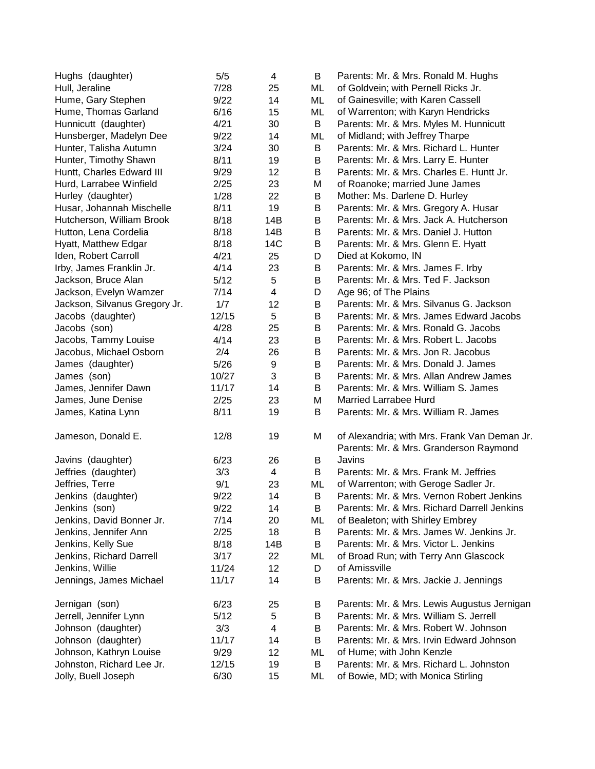| Hughs (daughter)              | 5/5   | 4   | B  | Parents: Mr. & Mrs. Ronald M. Hughs          |
|-------------------------------|-------|-----|----|----------------------------------------------|
| Hull, Jeraline                | 7/28  | 25  | ML | of Goldvein; with Pernell Ricks Jr.          |
| Hume, Gary Stephen            | 9/22  | 14  | ML | of Gainesville; with Karen Cassell           |
| Hume, Thomas Garland          | 6/16  | 15  | ML | of Warrenton; with Karyn Hendricks           |
| Hunnicutt (daughter)          | 4/21  | 30  | B  | Parents: Mr. & Mrs. Myles M. Hunnicutt       |
| Hunsberger, Madelyn Dee       | 9/22  | 14  | ML | of Midland; with Jeffrey Tharpe              |
| Hunter, Talisha Autumn        | 3/24  | 30  | B  | Parents: Mr. & Mrs. Richard L. Hunter        |
| Hunter, Timothy Shawn         | 8/11  | 19  | B  | Parents: Mr. & Mrs. Larry E. Hunter          |
| Huntt, Charles Edward III     | 9/29  | 12  | В  | Parents: Mr. & Mrs. Charles E. Huntt Jr.     |
| Hurd, Larrabee Winfield       | 2/25  | 23  | Μ  | of Roanoke; married June James               |
| Hurley (daughter)             | 1/28  | 22  | B  | Mother: Ms. Darlene D. Hurley                |
| Husar, Johannah Mischelle     | 8/11  | 19  | B  | Parents: Mr. & Mrs. Gregory A. Husar         |
| Hutcherson, William Brook     | 8/18  | 14B | B  | Parents: Mr. & Mrs. Jack A. Hutcherson       |
| Hutton, Lena Cordelia         | 8/18  | 14B | B  | Parents: Mr. & Mrs. Daniel J. Hutton         |
| Hyatt, Matthew Edgar          | 8/18  | 14C | B  | Parents: Mr. & Mrs. Glenn E. Hyatt           |
| Iden, Robert Carroll          | 4/21  | 25  | D  | Died at Kokomo, IN                           |
| Irby, James Franklin Jr.      | 4/14  | 23  | B  | Parents: Mr. & Mrs. James F. Irby            |
| Jackson, Bruce Alan           | 5/12  | 5   | В  | Parents: Mr. & Mrs. Ted F. Jackson           |
| Jackson, Evelyn Wamzer        | 7/14  | 4   | D  | Age 96; of The Plains                        |
| Jackson, Silvanus Gregory Jr. | 1/7   | 12  | В  | Parents: Mr. & Mrs. Silvanus G. Jackson      |
| Jacobs (daughter)             | 12/15 | 5   | B  | Parents: Mr. & Mrs. James Edward Jacobs      |
| Jacobs (son)                  | 4/28  | 25  | В  | Parents: Mr. & Mrs. Ronald G. Jacobs         |
| Jacobs, Tammy Louise          | 4/14  | 23  | В  | Parents: Mr. & Mrs. Robert L. Jacobs         |
| Jacobus, Michael Osborn       | 2/4   | 26  | В  | Parents: Mr. & Mrs. Jon R. Jacobus           |
| James (daughter)              | 5/26  | 9   | В  | Parents: Mr. & Mrs. Donald J. James          |
| James (son)                   | 10/27 | 3   | В  | Parents: Mr. & Mrs. Allan Andrew James       |
| James, Jennifer Dawn          | 11/17 | 14  | В  | Parents: Mr. & Mrs. William S. James         |
| James, June Denise            | 2/25  | 23  | Μ  | <b>Married Larrabee Hurd</b>                 |
| James, Katina Lynn            | 8/11  | 19  | B  | Parents: Mr. & Mrs. William R. James         |
|                               |       |     |    |                                              |
| Jameson, Donald E.            | 12/8  | 19  | м  | of Alexandria; with Mrs. Frank Van Deman Jr. |
|                               |       |     |    | Parents: Mr. & Mrs. Granderson Raymond       |
| Javins (daughter)             | 6/23  | 26  | B  | Javins                                       |
| Jeffries (daughter)           | 3/3   | 4   | B  | Parents: Mr. & Mrs. Frank M. Jeffries        |
| Jeffries, Terre               | 9/1   | 23  | ML | of Warrenton; with Geroge Sadler Jr.         |
| Jenkins (daughter)            | 9/22  | 14  | В  | Parents: Mr. & Mrs. Vernon Robert Jenkins    |
| Jenkins (son)                 | 9/22  | 14  | B  | Parents: Mr. & Mrs. Richard Darrell Jenkins  |
| Jenkins, David Bonner Jr.     | 7/14  | 20  | ML | of Bealeton; with Shirley Embrey             |
| Jenkins, Jennifer Ann         | 2/25  | 18  | B  | Parents: Mr. & Mrs. James W. Jenkins Jr.     |
| Jenkins, Kelly Sue            | 8/18  | 14B | В  | Parents: Mr. & Mrs. Victor L. Jenkins        |
| Jenkins, Richard Darrell      | 3/17  | 22  | ML | of Broad Run; with Terry Ann Glascock        |
| Jenkins, Willie               | 11/24 | 12  | D  | of Amissville                                |
| Jennings, James Michael       | 11/17 | 14  | B  | Parents: Mr. & Mrs. Jackie J. Jennings       |
|                               |       |     |    |                                              |
| Jernigan (son)                | 6/23  | 25  | B  | Parents: Mr. & Mrs. Lewis Augustus Jernigan  |
| Jerrell, Jennifer Lynn        | 5/12  | 5   | В  | Parents: Mr. & Mrs. William S. Jerrell       |
| Johnson (daughter)            | 3/3   | 4   | В  | Parents: Mr. & Mrs. Robert W. Johnson        |
| Johnson (daughter)            | 11/17 | 14  | В  | Parents: Mr. & Mrs. Irvin Edward Johnson     |
| Johnson, Kathryn Louise       | 9/29  | 12  | ML | of Hume; with John Kenzle                    |
| Johnston, Richard Lee Jr.     | 12/15 | 19  | B  | Parents: Mr. & Mrs. Richard L. Johnston      |
| Jolly, Buell Joseph           | 6/30  | 15  | ML | of Bowie, MD; with Monica Stirling           |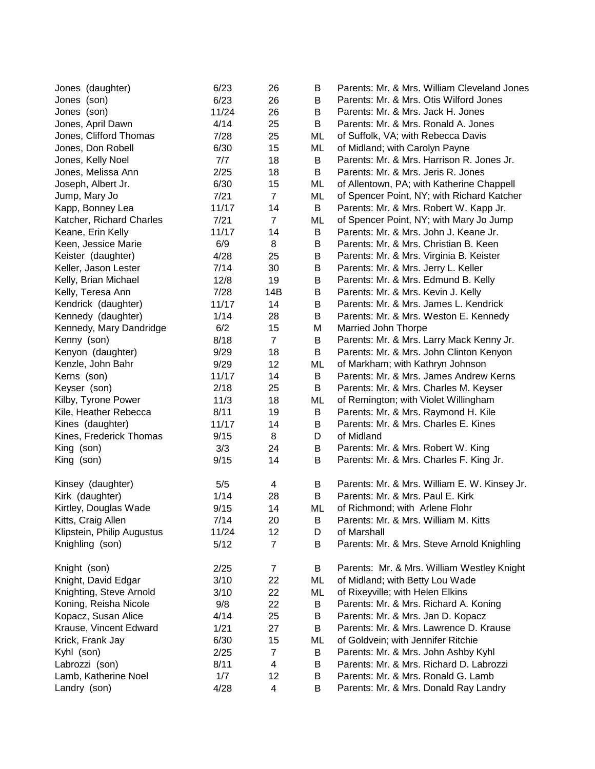| Jones (daughter)           | 6/23  | 26             | B  | Parents: Mr. & Mrs. William Cleveland Jones  |
|----------------------------|-------|----------------|----|----------------------------------------------|
| Jones (son)                | 6/23  | 26             | B  | Parents: Mr. & Mrs. Otis Wilford Jones       |
| Jones (son)                | 11/24 | 26             | B  | Parents: Mr. & Mrs. Jack H. Jones            |
| Jones, April Dawn          | 4/14  | 25             | B  | Parents: Mr. & Mrs. Ronald A. Jones          |
| Jones, Clifford Thomas     | 7/28  | 25             | ML | of Suffolk, VA; with Rebecca Davis           |
| Jones, Don Robell          | 6/30  | 15             | ML | of Midland; with Carolyn Payne               |
| Jones, Kelly Noel          | 7/7   | 18             | B  | Parents: Mr. & Mrs. Harrison R. Jones Jr.    |
| Jones, Melissa Ann         | 2/25  | 18             | B  | Parents: Mr. & Mrs. Jeris R. Jones           |
| Joseph, Albert Jr.         | 6/30  | 15             | ML | of Allentown, PA; with Katherine Chappell    |
| Jump, Mary Jo              | 7/21  | $\overline{7}$ | ML | of Spencer Point, NY; with Richard Katcher   |
| Kapp, Bonney Lea           | 11/17 | 14             | B  | Parents: Mr. & Mrs. Robert W. Kapp Jr.       |
| Katcher, Richard Charles   | 7/21  | $\overline{7}$ | ML | of Spencer Point, NY; with Mary Jo Jump      |
| Keane, Erin Kelly          | 11/17 | 14             | B  | Parents: Mr. & Mrs. John J. Keane Jr.        |
| Keen, Jessice Marie        | 6/9   | 8              | B  | Parents: Mr. & Mrs. Christian B. Keen        |
| Keister (daughter)         | 4/28  | 25             | B  | Parents: Mr. & Mrs. Virginia B. Keister      |
| Keller, Jason Lester       | 7/14  | 30             | B  | Parents: Mr. & Mrs. Jerry L. Keller          |
| Kelly, Brian Michael       | 12/8  | 19             | B  | Parents: Mr. & Mrs. Edmund B. Kelly          |
| Kelly, Teresa Ann          | 7/28  | 14B            | B  | Parents: Mr. & Mrs. Kevin J. Kelly           |
| Kendrick (daughter)        | 11/17 | 14             | В  | Parents: Mr. & Mrs. James L. Kendrick        |
| Kennedy (daughter)         | 1/14  | 28             | B  | Parents: Mr. & Mrs. Weston E. Kennedy        |
| Kennedy, Mary Dandridge    | 6/2   | 15             | M  | Married John Thorpe                          |
| Kenny (son)                | 8/18  | $\overline{7}$ | B  | Parents: Mr. & Mrs. Larry Mack Kenny Jr.     |
| Kenyon (daughter)          | 9/29  | 18             | B  | Parents: Mr. & Mrs. John Clinton Kenyon      |
| Kenzle, John Bahr          | 9/29  | 12             | ML | of Markham; with Kathryn Johnson             |
| Kerns (son)                | 11/17 | 14             | B  | Parents: Mr. & Mrs. James Andrew Kerns       |
| Keyser (son)               | 2/18  | 25             | B  | Parents: Mr. & Mrs. Charles M. Keyser        |
| Kilby, Tyrone Power        | 11/3  | 18             | ML | of Remington; with Violet Willingham         |
| Kile, Heather Rebecca      | 8/11  | 19             | B  | Parents: Mr. & Mrs. Raymond H. Kile          |
| Kines (daughter)           | 11/17 | 14             | B  | Parents: Mr. & Mrs. Charles E. Kines         |
| Kines, Frederick Thomas    | 9/15  | 8              | D  | of Midland                                   |
|                            | 3/3   | 24             | В  | Parents: Mr. & Mrs. Robert W. King           |
| King (son)                 | 9/15  | 14             | B  | Parents: Mr. & Mrs. Charles F. King Jr.      |
| King (son)                 |       |                |    |                                              |
| Kinsey (daughter)          | 5/5   | 4              | В  | Parents: Mr. & Mrs. William E. W. Kinsey Jr. |
| Kirk (daughter)            | 1/14  | 28             | B  | Parents: Mr. & Mrs. Paul E. Kirk             |
| Kirtley, Douglas Wade      | 9/15  | 14             | ML | of Richmond; with Arlene Flohr               |
| Kitts, Craig Allen         | 7/14  | 20             | Β  | Parents: Mr. & Mrs. William M. Kitts         |
| Klipstein, Philip Augustus | 11/24 | 12             | D  | of Marshall                                  |
| Knighling (son)            | 5/12  | $\overline{7}$ | B  | Parents: Mr. & Mrs. Steve Arnold Knighling   |
| Knight (son)               | 2/25  | $\overline{7}$ | В  | Parents: Mr. & Mrs. William Westley Knight   |
| Knight, David Edgar        | 3/10  | 22             | ML | of Midland; with Betty Lou Wade              |
| Knighting, Steve Arnold    | 3/10  | 22             | ML | of Rixeyville; with Helen Elkins             |
| Koning, Reisha Nicole      | 9/8   | 22             | В  | Parents: Mr. & Mrs. Richard A. Koning        |
| Kopacz, Susan Alice        | 4/14  | 25             | B  | Parents: Mr. & Mrs. Jan D. Kopacz            |
| Krause, Vincent Edward     | 1/21  | 27             | B  | Parents: Mr. & Mrs. Lawrence D. Krause       |
| Krick, Frank Jay           | 6/30  | 15             | ML | of Goldvein; with Jennifer Ritchie           |
| Kyhl (son)                 | 2/25  | $\overline{7}$ | B  | Parents: Mr. & Mrs. John Ashby Kyhl          |
| Labrozzi (son)             | 8/11  | 4              | B  | Parents: Mr. & Mrs. Richard D. Labrozzi      |
| Lamb, Katherine Noel       | 1/7   | 12             | B  | Parents: Mr. & Mrs. Ronald G. Lamb           |
| Landry (son)               | 4/28  | 4              | В  | Parents: Mr. & Mrs. Donald Ray Landry        |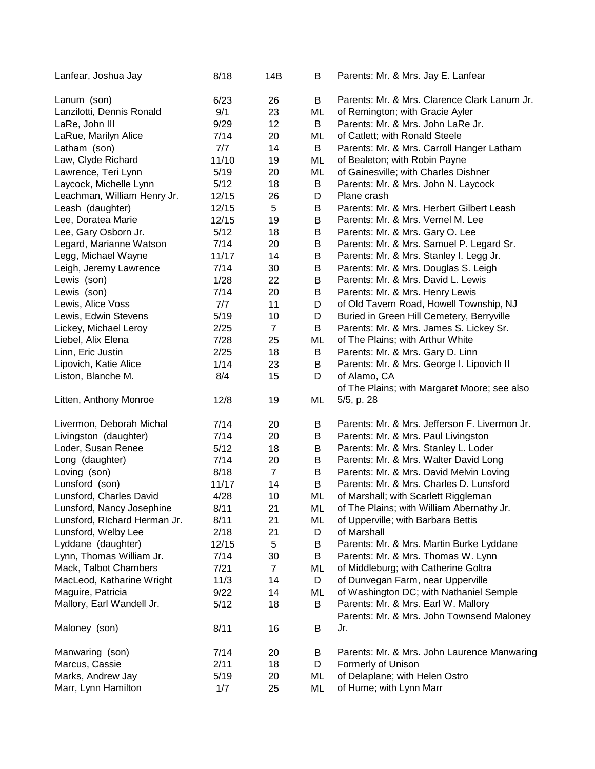| Lanfear, Joshua Jay          | 8/18   | 14B            | В  | Parents: Mr. & Mrs. Jay E. Lanfear            |
|------------------------------|--------|----------------|----|-----------------------------------------------|
| Lanum (son)                  | 6/23   | 26             | B  | Parents: Mr. & Mrs. Clarence Clark Lanum Jr.  |
| Lanzilotti, Dennis Ronald    | 9/1    | 23             | ML | of Remington; with Gracie Ayler               |
| LaRe, John III               | 9/29   | 12             | B  | Parents: Mr. & Mrs. John LaRe Jr.             |
| LaRue, Marilyn Alice         | 7/14   | 20             | ML | of Catlett; with Ronald Steele                |
| Latham (son)                 | 7/7    | 14             | B  | Parents: Mr. & Mrs. Carroll Hanger Latham     |
| Law, Clyde Richard           | 11/10  | 19             | ML | of Bealeton; with Robin Payne                 |
| Lawrence, Teri Lynn          | 5/19   | 20             | ML | of Gainesville; with Charles Dishner          |
| Laycock, Michelle Lynn       | $5/12$ | 18             | В  | Parents: Mr. & Mrs. John N. Laycock           |
| Leachman, William Henry Jr.  | 12/15  | 26             | D  | Plane crash                                   |
| Leash (daughter)             | 12/15  | 5              | B  | Parents: Mr. & Mrs. Herbert Gilbert Leash     |
| Lee, Doratea Marie           | 12/15  | 19             | B  | Parents: Mr. & Mrs. Vernel M. Lee             |
| Lee, Gary Osborn Jr.         | $5/12$ | 18             | B  | Parents: Mr. & Mrs. Gary O. Lee               |
| Legard, Marianne Watson      | 7/14   | 20             | B  | Parents: Mr. & Mrs. Samuel P. Legard Sr.      |
| Legg, Michael Wayne          | 11/17  | 14             | B  | Parents: Mr. & Mrs. Stanley I. Legg Jr.       |
| Leigh, Jeremy Lawrence       | 7/14   | 30             | B  | Parents: Mr. & Mrs. Douglas S. Leigh          |
| Lewis (son)                  | 1/28   | 22             | B  | Parents: Mr. & Mrs. David L. Lewis            |
| Lewis (son)                  | 7/14   | 20             | B  | Parents: Mr. & Mrs. Henry Lewis               |
| Lewis, Alice Voss            | 7/7    | 11             | D  | of Old Tavern Road, Howell Township, NJ       |
| Lewis, Edwin Stevens         | 5/19   | 10             | D  | Buried in Green Hill Cemetery, Berryville     |
| Lickey, Michael Leroy        | 2/25   | $\overline{7}$ | B  | Parents: Mr. & Mrs. James S. Lickey Sr.       |
| Liebel, Alix Elena           | 7/28   | 25             | ML | of The Plains; with Arthur White              |
| Linn, Eric Justin            | 2/25   | 18             | В  | Parents: Mr. & Mrs. Gary D. Linn              |
| Lipovich, Katie Alice        | 1/14   | 23             | B  | Parents: Mr. & Mrs. George I. Lipovich II     |
| Liston, Blanche M.           | 8/4    | 15             | D  | of Alamo, CA                                  |
|                              |        |                |    | of The Plains; with Margaret Moore; see also  |
| Litten, Anthony Monroe       | 12/8   | 19             | ML | 5/5, p. 28                                    |
| Livermon, Deborah Michal     | 7/14   | 20             | Β  | Parents: Mr. & Mrs. Jefferson F. Livermon Jr. |
| Livingston (daughter)        | 7/14   | 20             | B  | Parents: Mr. & Mrs. Paul Livingston           |
| Loder, Susan Renee           | 5/12   | 18             | B  | Parents: Mr. & Mrs. Stanley L. Loder          |
| Long (daughter)              | 7/14   | 20             | B  | Parents: Mr. & Mrs. Walter David Long         |
| Loving (son)                 | 8/18   | $\overline{7}$ | B  | Parents: Mr. & Mrs. David Melvin Loving       |
| Lunsford (son)               | 11/17  | 14             | B  | Parents: Mr. & Mrs. Charles D. Lunsford       |
| Lunsford, Charles David      | 4/28   | 10             | ML | of Marshall; with Scarlett Riggleman          |
| Lunsford, Nancy Josephine    | 8/11   | 21             | ML | of The Plains; with William Abernathy Jr.     |
| Lunsford, Richard Herman Jr. | 8/11   | 21             | ML | of Upperville; with Barbara Bettis            |
| Lunsford, Welby Lee          | 2/18   | 21             | D  | of Marshall                                   |
| Lyddane (daughter)           | 12/15  | 5              | Β  | Parents: Mr. & Mrs. Martin Burke Lyddane      |
| Lynn, Thomas William Jr.     | 7/14   | 30             | В  | Parents: Mr. & Mrs. Thomas W. Lynn            |
| Mack, Talbot Chambers        | 7/21   | $\overline{7}$ | ML | of Middleburg; with Catherine Goltra          |
| MacLeod, Katharine Wright    | 11/3   | 14             | D  | of Dunvegan Farm, near Upperville             |
| Maguire, Patricia            | 9/22   | 14             | ML | of Washington DC; with Nathaniel Semple       |
| Mallory, Earl Wandell Jr.    | 5/12   | 18             | B  | Parents: Mr. & Mrs. Earl W. Mallory           |
|                              |        |                |    | Parents: Mr. & Mrs. John Townsend Maloney     |
| Maloney (son)                | 8/11   | 16             | B  | Jr.                                           |
| Manwaring (son)              | 7/14   | 20             | B  | Parents: Mr. & Mrs. John Laurence Manwaring   |
| Marcus, Cassie               | 2/11   | 18             | D  | Formerly of Unison                            |
| Marks, Andrew Jay            | 5/19   | 20             | ML | of Delaplane; with Helen Ostro                |
| Marr, Lynn Hamilton          | 1/7    | 25             | ML | of Hume; with Lynn Marr                       |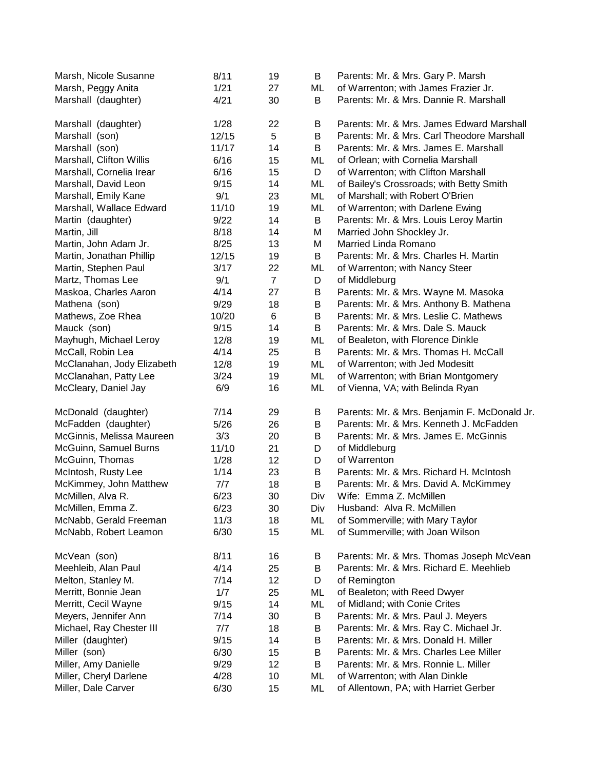| Marsh, Nicole Susanne      | 8/11  | 19             | B   | Parents: Mr. & Mrs. Gary P. Marsh            |
|----------------------------|-------|----------------|-----|----------------------------------------------|
| Marsh, Peggy Anita         | 1/21  | 27             | ML  | of Warrenton; with James Frazier Jr.         |
| Marshall (daughter)        | 4/21  | 30             | B   | Parents: Mr. & Mrs. Dannie R. Marshall       |
|                            |       |                |     |                                              |
| Marshall (daughter)        | 1/28  | 22             | В   | Parents: Mr. & Mrs. James Edward Marshall    |
| Marshall (son)             | 12/15 | 5              | B   | Parents: Mr. & Mrs. Carl Theodore Marshall   |
| Marshall (son)             | 11/17 | 14             | B   | Parents: Mr. & Mrs. James E. Marshall        |
| Marshall, Clifton Willis   | 6/16  | 15             | ML  | of Orlean; with Cornelia Marshall            |
| Marshall, Cornelia Irear   | 6/16  | 15             | D   | of Warrenton; with Clifton Marshall          |
| Marshall, David Leon       | 9/15  | 14             | ML  | of Bailey's Crossroads; with Betty Smith     |
| Marshall, Emily Kane       | 9/1   | 23             | ML  | of Marshall; with Robert O'Brien             |
| Marshall, Wallace Edward   | 11/10 | 19             | ML  | of Warrenton; with Darlene Ewing             |
| Martin (daughter)          | 9/22  | 14             | B   | Parents: Mr. & Mrs. Louis Leroy Martin       |
| Martin, Jill               | 8/18  | 14             | М   | Married John Shockley Jr.                    |
| Martin, John Adam Jr.      | 8/25  | 13             | М   | Married Linda Romano                         |
| Martin, Jonathan Phillip   | 12/15 | 19             | B   | Parents: Mr. & Mrs. Charles H. Martin        |
| Martin, Stephen Paul       | 3/17  | 22             | ML  | of Warrenton; with Nancy Steer               |
| Martz, Thomas Lee          | 9/1   | $\overline{7}$ | D   | of Middleburg                                |
| Maskoa, Charles Aaron      | 4/14  | 27             | B   | Parents: Mr. & Mrs. Wayne M. Masoka          |
| Mathena (son)              | 9/29  | 18             | B   | Parents: Mr. & Mrs. Anthony B. Mathena       |
| Mathews, Zoe Rhea          | 10/20 | 6              | B   | Parents: Mr. & Mrs. Leslie C. Mathews        |
| Mauck (son)                | 9/15  | 14             | B   | Parents: Mr. & Mrs. Dale S. Mauck            |
| Mayhugh, Michael Leroy     | 12/8  | 19             | ML  | of Bealeton, with Florence Dinkle            |
| McCall, Robin Lea          | 4/14  | 25             | B   | Parents: Mr. & Mrs. Thomas H. McCall         |
| McClanahan, Jody Elizabeth | 12/8  | 19             | ML  | of Warrenton; with Jed Modesitt              |
| McClanahan, Patty Lee      | 3/24  | 19             | ML  | of Warrenton; with Brian Montgomery          |
| McCleary, Daniel Jay       | 6/9   | 16             | ML  | of Vienna, VA; with Belinda Ryan             |
|                            |       |                |     |                                              |
| McDonald (daughter)        | 7/14  | 29             | B   | Parents: Mr. & Mrs. Benjamin F. McDonald Jr. |
| McFadden (daughter)        | 5/26  | 26             | B   | Parents: Mr. & Mrs. Kenneth J. McFadden      |
| McGinnis, Melissa Maureen  | 3/3   | 20             | B   | Parents: Mr. & Mrs. James E. McGinnis        |
| McGuinn, Samuel Burns      | 11/10 | 21             | D   | of Middleburg                                |
| McGuinn, Thomas            | 1/28  | 12             | D   | of Warrenton                                 |
| McIntosh, Rusty Lee        | 1/14  | 23             | B   | Parents: Mr. & Mrs. Richard H. McIntosh      |
| McKimmey, John Matthew     | 7/7   | 18             | B   | Parents: Mr. & Mrs. David A. McKimmey        |
| McMillen, Alva R.          | 6/23  | 30             | Div | Wife: Emma Z. McMillen                       |
| McMillen, Emma Z.          | 6/23  | 30             | Div | Husband: Alva R. McMillen                    |
| McNabb, Gerald Freeman     | 11/3  | 18             | ML  | of Sommerville; with Mary Taylor             |
| McNabb, Robert Leamon      | 6/30  | 15             | ML  | of Summerville; with Joan Wilson             |
|                            |       |                |     |                                              |
| McVean (son)               | 8/11  | 16             | B   | Parents: Mr. & Mrs. Thomas Joseph McVean     |
| Meehleib, Alan Paul        | 4/14  | 25             | В   | Parents: Mr. & Mrs. Richard E. Meehlieb      |
| Melton, Stanley M.         | 7/14  | 12             | D   | of Remington                                 |
| Merritt, Bonnie Jean       | 1/7   | 25             | ML  | of Bealeton; with Reed Dwyer                 |
| Merritt, Cecil Wayne       | 9/15  | 14             | ML  | of Midland; with Conie Crites                |
| Meyers, Jennifer Ann       | 7/14  | 30             | B   | Parents: Mr. & Mrs. Paul J. Meyers           |
| Michael, Ray Chester III   | 7/7   | 18             | B   | Parents: Mr. & Mrs. Ray C. Michael Jr.       |
| Miller (daughter)          | 9/15  | 14             | В   | Parents: Mr. & Mrs. Donald H. Miller         |
| Miller (son)               | 6/30  | 15             | B   | Parents: Mr. & Mrs. Charles Lee Miller       |
| Miller, Amy Danielle       | 9/29  | 12             | B   | Parents: Mr. & Mrs. Ronnie L. Miller         |
| Miller, Cheryl Darlene     | 4/28  | 10             | ML  | of Warrenton; with Alan Dinkle               |
| Miller, Dale Carver        | 6/30  | 15             | ML  | of Allentown, PA; with Harriet Gerber        |
|                            |       |                |     |                                              |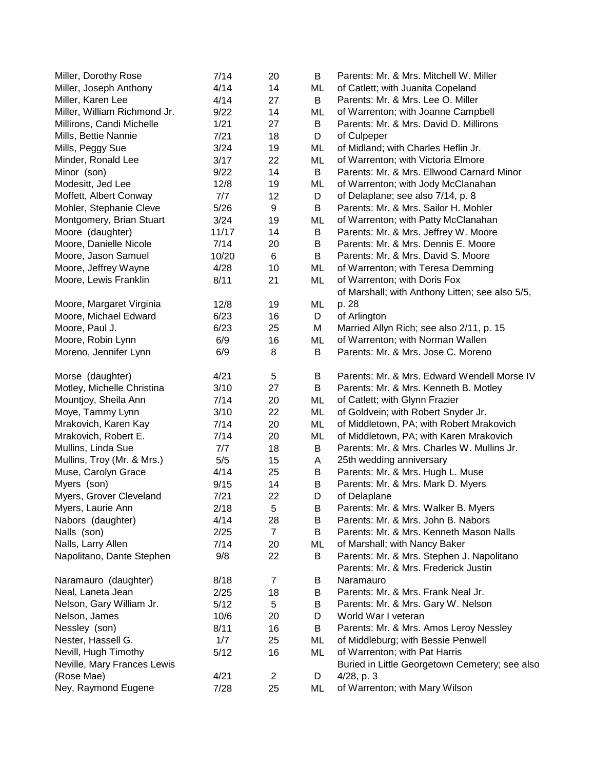| Miller, Dorothy Rose         | 7/14  | 20             | B  | Parents: Mr. & Mrs. Mitchell W. Miller                                            |
|------------------------------|-------|----------------|----|-----------------------------------------------------------------------------------|
| Miller, Joseph Anthony       | 4/14  | 14             | ML | of Catlett; with Juanita Copeland                                                 |
| Miller, Karen Lee            | 4/14  | 27             | B  | Parents: Mr. & Mrs. Lee O. Miller                                                 |
| Miller, William Richmond Jr. | 9/22  | 14             | ML | of Warrenton; with Joanne Campbell                                                |
| Millirons, Candi Michelle    | 1/21  | 27             | B  | Parents: Mr. & Mrs. David D. Millirons                                            |
| Mills, Bettie Nannie         | 7/21  | 18             | D  | of Culpeper                                                                       |
| Mills, Peggy Sue             | 3/24  | 19             | ML | of Midland; with Charles Heflin Jr.                                               |
| Minder, Ronald Lee           | 3/17  | 22             | ML | of Warrenton; with Victoria Elmore                                                |
| Minor (son)                  | 9/22  | 14             | B  | Parents: Mr. & Mrs. Ellwood Carnard Minor                                         |
| Modesitt, Jed Lee            | 12/8  | 19             | ML | of Warrenton; with Jody McClanahan                                                |
| Moffett, Albert Conway       | 7/7   | 12             | D  | of Delaplane; see also 7/14, p. 8                                                 |
| Mohler, Stephanie Cleve      | 5/26  | 9              | B  | Parents: Mr. & Mrs. Sailor H. Mohler                                              |
| Montgomery, Brian Stuart     | 3/24  | 19             | ML | of Warrenton; with Patty McClanahan                                               |
| Moore (daughter)             | 11/17 | 14             | B  | Parents: Mr. & Mrs. Jeffrey W. Moore                                              |
| Moore, Danielle Nicole       | 7/14  | 20             | B  | Parents: Mr. & Mrs. Dennis E. Moore                                               |
| Moore, Jason Samuel          | 10/20 | 6              | B  | Parents: Mr. & Mrs. David S. Moore                                                |
| Moore, Jeffrey Wayne         | 4/28  | 10             | ML | of Warrenton; with Teresa Demming                                                 |
| Moore, Lewis Franklin        | 8/11  | 21             | ML | of Warrenton; with Doris Fox                                                      |
|                              |       |                |    | of Marshall; with Anthony Litten; see also 5/5,                                   |
| Moore, Margaret Virginia     | 12/8  | 19             | ML | p. 28                                                                             |
| Moore, Michael Edward        | 6/23  | 16             | D  | of Arlington                                                                      |
| Moore, Paul J.               | 6/23  | 25             | M  | Married Allyn Rich; see also 2/11, p. 15                                          |
| Moore, Robin Lynn            | 6/9   | 16             | ML | of Warrenton; with Norman Wallen                                                  |
| Moreno, Jennifer Lynn        | 6/9   | 8              | B  | Parents: Mr. & Mrs. Jose C. Moreno                                                |
| Morse (daughter)             | 4/21  | 5              | B  | Parents: Mr. & Mrs. Edward Wendell Morse IV                                       |
| Motley, Michelle Christina   | 3/10  | 27             | B  | Parents: Mr. & Mrs. Kenneth B. Motley                                             |
| Mountjoy, Sheila Ann         | 7/14  | 20             | ML | of Catlett; with Glynn Frazier                                                    |
| Moye, Tammy Lynn             | 3/10  | 22             | ML | of Goldvein; with Robert Snyder Jr.                                               |
| Mrakovich, Karen Kay         | 7/14  | 20             | ML | of Middletown, PA; with Robert Mrakovich                                          |
| Mrakovich, Robert E.         | 7/14  | 20             | ML | of Middletown, PA; with Karen Mrakovich                                           |
| Mullins, Linda Sue           | 7/7   | 18             | B  | Parents: Mr. & Mrs. Charles W. Mullins Jr.                                        |
| Mullins, Troy (Mr. & Mrs.)   | 5/5   | 15             | A  | 25th wedding anniversary                                                          |
| Muse, Carolyn Grace          | 4/14  | 25             | B  | Parents: Mr. & Mrs. Hugh L. Muse                                                  |
| Myers (son)                  | 9/15  | 14             | B  | Parents: Mr. & Mrs. Mark D. Myers                                                 |
| Myers, Grover Cleveland      | 7/21  | 22             | D  | of Delaplane                                                                      |
| Myers, Laurie Ann            | 2/18  | 5              | B  | Parents: Mr. & Mrs. Walker B. Myers                                               |
| Nabors (daughter)            | 4/14  | 28             | B  | Parents: Mr. & Mrs. John B. Nabors                                                |
| Nalls (son)                  | 2/25  | $\overline{7}$ | B  | Parents: Mr. & Mrs. Kenneth Mason Nalls                                           |
| Nalls, Larry Allen           | 7/14  | 20             | ML | of Marshall; with Nancy Baker                                                     |
| Napolitano, Dante Stephen    | 9/8   | 22             | B  | Parents: Mr. & Mrs. Stephen J. Napolitano<br>Parents: Mr. & Mrs. Frederick Justin |
| Naramauro (daughter)         | 8/18  | $\overline{7}$ | B  | Naramauro                                                                         |
| Neal, Laneta Jean            | 2/25  | 18             | B  | Parents: Mr. & Mrs. Frank Neal Jr.                                                |
| Nelson, Gary William Jr.     | 5/12  | 5              | В  | Parents: Mr. & Mrs. Gary W. Nelson                                                |
| Nelson, James                | 10/6  | 20             | D  | World War I veteran                                                               |
| Nessley (son)                | 8/11  | 16             | B  | Parents: Mr. & Mrs. Amos Leroy Nessley                                            |
| Nester, Hassell G.           | 1/7   | 25             | ML | of Middleburg; with Bessie Penwell                                                |
| Nevill, Hugh Timothy         | 5/12  | 16             | ML | of Warrenton; with Pat Harris                                                     |
| Neville, Mary Frances Lewis  |       |                |    | Buried in Little Georgetown Cemetery; see also                                    |
| (Rose Mae)                   | 4/21  | $\overline{2}$ | D  | $4/28$ , p. 3                                                                     |
| Ney, Raymond Eugene          | 7/28  | 25             | ML | of Warrenton; with Mary Wilson                                                    |
|                              |       |                |    |                                                                                   |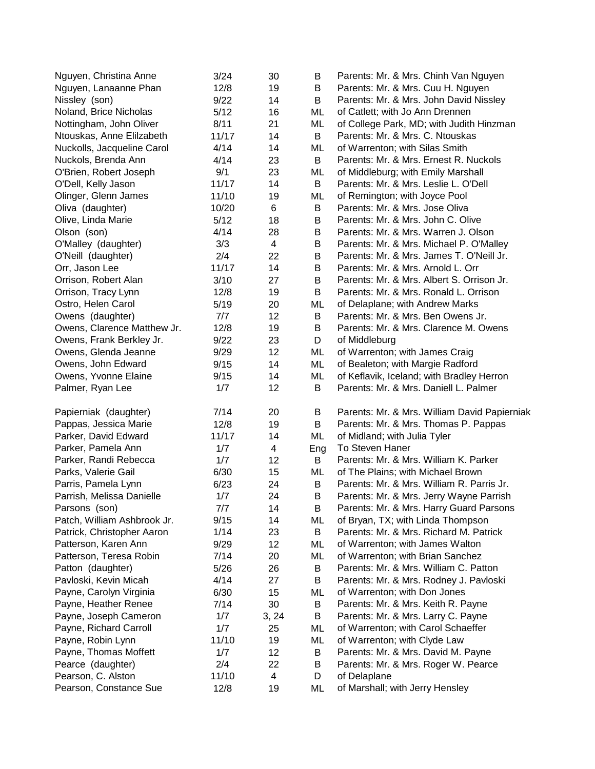| Nguyen, Christina Anne      | 3/24  | 30             | В   | Parents: Mr. & Mrs. Chinh Van Nguyen         |
|-----------------------------|-------|----------------|-----|----------------------------------------------|
| Nguyen, Lanaanne Phan       | 12/8  | 19             | В   | Parents: Mr. & Mrs. Cuu H. Nguyen            |
| Nissley (son)               | 9/22  | 14             | В   | Parents: Mr. & Mrs. John David Nissley       |
| Noland, Brice Nicholas      | 5/12  | 16             | ML  | of Catlett; with Jo Ann Drennen              |
| Nottingham, John Oliver     | 8/11  | 21             | ML  | of College Park, MD; with Judith Hinzman     |
| Ntouskas, Anne Elilzabeth   | 11/17 | 14             | B   | Parents: Mr. & Mrs. C. Ntouskas              |
| Nuckolls, Jacqueline Carol  | 4/14  | 14             | ML  | of Warrenton; with Silas Smith               |
| Nuckols, Brenda Ann         | 4/14  | 23             | B   | Parents: Mr. & Mrs. Ernest R. Nuckols        |
| O'Brien, Robert Joseph      | 9/1   | 23             | ML  | of Middleburg; with Emily Marshall           |
| O'Dell, Kelly Jason         | 11/17 | 14             | B   | Parents: Mr. & Mrs. Leslie L. O'Dell         |
| Olinger, Glenn James        | 11/10 | 19             | ML  | of Remington; with Joyce Pool                |
| Oliva (daughter)            | 10/20 | 6              | В   | Parents: Mr. & Mrs. Jose Oliva               |
| Olive, Linda Marie          | 5/12  | 18             | B   | Parents: Mr. & Mrs. John C. Olive            |
| Olson (son)                 | 4/14  | 28             | B   | Parents: Mr. & Mrs. Warren J. Olson          |
| O'Malley (daughter)         | 3/3   | $\overline{4}$ | B   | Parents: Mr. & Mrs. Michael P. O'Malley      |
| O'Neill (daughter)          | 2/4   | 22             | B   | Parents: Mr. & Mrs. James T. O'Neill Jr.     |
| Orr, Jason Lee              | 11/17 | 14             | B   | Parents: Mr. & Mrs. Arnold L. Orr            |
| Orrison, Robert Alan        | 3/10  | 27             | B   | Parents: Mr. & Mrs. Albert S. Orrison Jr.    |
| Orrison, Tracy Lynn         | 12/8  | 19             | B   | Parents: Mr. & Mrs. Ronald L. Orrison        |
| Ostro, Helen Carol          | 5/19  | 20             | ML  | of Delaplane; with Andrew Marks              |
| Owens (daughter)            | 7/7   | 12             | В   | Parents: Mr. & Mrs. Ben Owens Jr.            |
| Owens, Clarence Matthew Jr. | 12/8  | 19             | B   | Parents: Mr. & Mrs. Clarence M. Owens        |
| Owens, Frank Berkley Jr.    | 9/22  | 23             | D   | of Middleburg                                |
| Owens, Glenda Jeanne        | 9/29  | 12             | ML  | of Warrenton; with James Craig               |
| Owens, John Edward          | 9/15  | 14             | ML  | of Bealeton; with Margie Radford             |
| Owens, Yvonne Elaine        | 9/15  | 14             | ML  | of Keflavik, Iceland; with Bradley Herron    |
| Palmer, Ryan Lee            | 1/7   | 12             | B   | Parents: Mr. & Mrs. Daniell L. Palmer        |
|                             |       |                |     |                                              |
| Papierniak (daughter)       | 7/14  | 20             | B   | Parents: Mr. & Mrs. William David Papierniak |
| Pappas, Jessica Marie       | 12/8  | 19             | B   | Parents: Mr. & Mrs. Thomas P. Pappas         |
| Parker, David Edward        | 11/17 | 14             | ML  | of Midland; with Julia Tyler                 |
| Parker, Pamela Ann          | 1/7   | 4              | Eng | To Steven Haner                              |
| Parker, Randi Rebecca       | 1/7   | 12             | B   | Parents: Mr. & Mrs. William K. Parker        |
| Parks, Valerie Gail         | 6/30  | 15             | ML  | of The Plains; with Michael Brown            |
| Parris, Pamela Lynn         | 6/23  | 24             | B   | Parents: Mr. & Mrs. William R. Parris Jr.    |
| Parrish, Melissa Danielle   | 1/7   | 24             | B   | Parents: Mr. & Mrs. Jerry Wayne Parrish      |
| Parsons (son)               | 7/7   | 14             | Β   | Parents: Mr. & Mrs. Harry Guard Parsons      |
| Patch, William Ashbrook Jr. | 9/15  | 14             | ML  | of Bryan, TX; with Linda Thompson            |
| Patrick, Christopher Aaron  | 1/14  | 23             | В   | Parents: Mr. & Mrs. Richard M. Patrick       |
| Patterson, Karen Ann        | 9/29  | 12             | ML  | of Warrenton; with James Walton              |
| Patterson, Teresa Robin     | 7/14  | 20             | ML  | of Warrenton; with Brian Sanchez             |
| Patton (daughter)           | 5/26  | 26             | B   | Parents: Mr. & Mrs. William C. Patton        |
| Pavloski, Kevin Micah       | 4/14  | 27             | В   | Parents: Mr. & Mrs. Rodney J. Pavloski       |
| Payne, Carolyn Virginia     | 6/30  | 15             | ML  | of Warrenton; with Don Jones                 |
| Payne, Heather Renee        | 7/14  | 30             | В   | Parents: Mr. & Mrs. Keith R. Payne           |
| Payne, Joseph Cameron       | 1/7   | 3, 24          | В   | Parents: Mr. & Mrs. Larry C. Payne           |
| Payne, Richard Carroll      | 1/7   | 25             | ML  | of Warrenton; with Carol Schaeffer           |
| Payne, Robin Lynn           | 11/10 | 19             | ML  | of Warrenton; with Clyde Law                 |
| Payne, Thomas Moffett       | 1/7   | 12             | В   | Parents: Mr. & Mrs. David M. Payne           |
| Pearce (daughter)           | 2/4   | 22             | В   | Parents: Mr. & Mrs. Roger W. Pearce          |
| Pearson, C. Alston          | 11/10 | 4              | D   | of Delaplane                                 |
| Pearson, Constance Sue      | 12/8  | 19             | ML  | of Marshall; with Jerry Hensley              |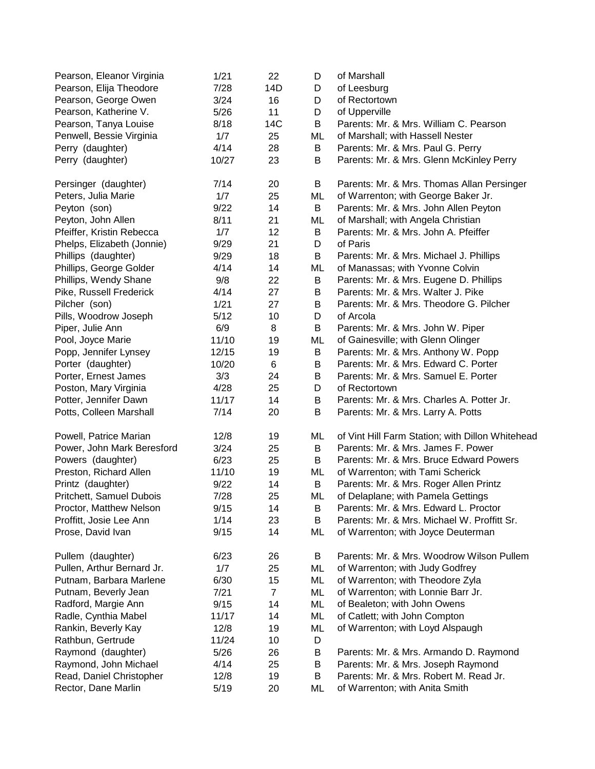| Pearson, Eleanor Virginia  | 1/21  | 22             | D  | of Marshall                                      |
|----------------------------|-------|----------------|----|--------------------------------------------------|
| Pearson, Elija Theodore    | 7/28  | 14D            | D  | of Leesburg                                      |
| Pearson, George Owen       | 3/24  | 16             | D  | of Rectortown                                    |
| Pearson, Katherine V.      | 5/26  | 11             | D  | of Upperville                                    |
| Pearson, Tanya Louise      | 8/18  | 14C            | В  | Parents: Mr. & Mrs. William C. Pearson           |
| Penwell, Bessie Virginia   | 1/7   | 25             | ML | of Marshall; with Hassell Nester                 |
| Perry (daughter)           | 4/14  | 28             | B  | Parents: Mr. & Mrs. Paul G. Perry                |
| Perry (daughter)           | 10/27 | 23             | В  | Parents: Mr. & Mrs. Glenn McKinley Perry         |
| Persinger (daughter)       | 7/14  | 20             | В  | Parents: Mr. & Mrs. Thomas Allan Persinger       |
| Peters, Julia Marie        | 1/7   | 25             | ML | of Warrenton; with George Baker Jr.              |
| Peyton (son)               | 9/22  | 14             | В  | Parents: Mr. & Mrs. John Allen Peyton            |
| Peyton, John Allen         | 8/11  | 21             | ML | of Marshall; with Angela Christian               |
| Pfeiffer, Kristin Rebecca  | 1/7   | 12             | В  | Parents: Mr. & Mrs. John A. Pfeiffer             |
| Phelps, Elizabeth (Jonnie) | 9/29  | 21             | D  | of Paris                                         |
| Phillips (daughter)        | 9/29  | 18             | В  | Parents: Mr. & Mrs. Michael J. Phillips          |
| Phillips, George Golder    | 4/14  | 14             | ML | of Manassas; with Yvonne Colvin                  |
| Phillips, Wendy Shane      | 9/8   | 22             | B  | Parents: Mr. & Mrs. Eugene D. Phillips           |
| Pike, Russell Frederick    | 4/14  | 27             | B  | Parents: Mr. & Mrs. Walter J. Pike               |
| Pilcher (son)              | 1/21  | 27             | В  | Parents: Mr. & Mrs. Theodore G. Pilcher          |
| Pills, Woodrow Joseph      | 5/12  | 10             | D  | of Arcola                                        |
| Piper, Julie Ann           | 6/9   | 8              | В  | Parents: Mr. & Mrs. John W. Piper                |
| Pool, Joyce Marie          | 11/10 | 19             | ML | of Gainesville; with Glenn Olinger               |
| Popp, Jennifer Lynsey      | 12/15 | 19             | B  | Parents: Mr. & Mrs. Anthony W. Popp              |
| Porter (daughter)          | 10/20 | 6              | B  | Parents: Mr. & Mrs. Edward C. Porter             |
| Porter, Ernest James       | 3/3   | 24             | B  | Parents: Mr. & Mrs. Samuel E. Porter             |
| Poston, Mary Virginia      | 4/28  | 25             | D  | of Rectortown                                    |
| Potter, Jennifer Dawn      | 11/17 | 14             | В  | Parents: Mr. & Mrs. Charles A. Potter Jr.        |
| Potts, Colleen Marshall    | 7/14  | 20             | В  | Parents: Mr. & Mrs. Larry A. Potts               |
| Powell, Patrice Marian     | 12/8  | 19             | ML | of Vint Hill Farm Station; with Dillon Whitehead |
| Power, John Mark Beresford | 3/24  | 25             | B  | Parents: Mr. & Mrs. James F. Power               |
| Powers (daughter)          | 6/23  | 25             | B  | Parents: Mr. & Mrs. Bruce Edward Powers          |
| Preston, Richard Allen     | 11/10 | 19             | ML | of Warrenton; with Tami Scherick                 |
| Printz (daughter)          | 9/22  | 14             | B  | Parents: Mr. & Mrs. Roger Allen Printz           |
| Pritchett, Samuel Dubois   | 7/28  | 25             | ML | of Delaplane; with Pamela Gettings               |
| Proctor, Matthew Nelson    | 9/15  | 14             | Β  | Parents: Mr. & Mrs. Edward L. Proctor            |
| Proffitt, Josie Lee Ann    | 1/14  | 23             | В  | Parents: Mr. & Mrs. Michael W. Proffitt Sr.      |
| Prose, David Ivan          | 9/15  | 14             | ML | of Warrenton; with Joyce Deuterman               |
| Pullem (daughter)          | 6/23  | 26             | В  | Parents: Mr. & Mrs. Woodrow Wilson Pullem        |
| Pullen, Arthur Bernard Jr. | 1/7   | 25             | ML | of Warrenton; with Judy Godfrey                  |
| Putnam, Barbara Marlene    | 6/30  | 15             | ML | of Warrenton; with Theodore Zyla                 |
| Putnam, Beverly Jean       | 7/21  | $\overline{7}$ | ML | of Warrenton; with Lonnie Barr Jr.               |
| Radford, Margie Ann        | 9/15  | 14             | ML | of Bealeton; with John Owens                     |
| Radle, Cynthia Mabel       | 11/17 | 14             | ML | of Catlett; with John Compton                    |
| Rankin, Beverly Kay        | 12/8  | 19             | ML | of Warrenton; with Loyd Alspaugh                 |
| Rathbun, Gertrude          | 11/24 | 10             | D  |                                                  |
| Raymond (daughter)         | 5/26  | 26             | Β  | Parents: Mr. & Mrs. Armando D. Raymond           |
| Raymond, John Michael      | 4/14  | 25             | В  | Parents: Mr. & Mrs. Joseph Raymond               |
| Read, Daniel Christopher   | 12/8  | 19             | В  | Parents: Mr. & Mrs. Robert M. Read Jr.           |
| Rector, Dane Marlin        | 5/19  | 20             | ML | of Warrenton; with Anita Smith                   |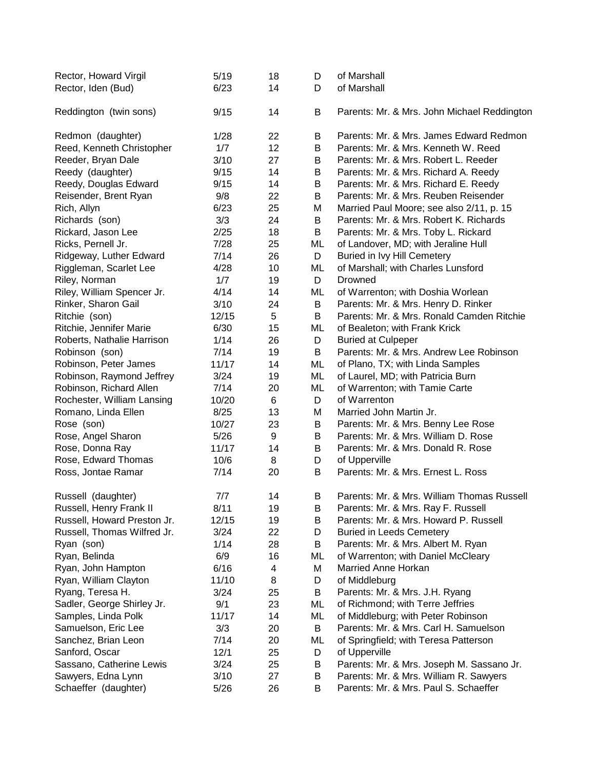| Rector, Howard Virgil       | 5/19  | 18 | D  | of Marshall                                 |
|-----------------------------|-------|----|----|---------------------------------------------|
| Rector, Iden (Bud)          | 6/23  | 14 | D  | of Marshall                                 |
|                             |       |    |    |                                             |
| Reddington (twin sons)      | 9/15  | 14 | В  | Parents: Mr. & Mrs. John Michael Reddington |
| Redmon (daughter)           | 1/28  | 22 | В  | Parents: Mr. & Mrs. James Edward Redmon     |
| Reed, Kenneth Christopher   | 1/7   | 12 | B  | Parents: Mr. & Mrs. Kenneth W. Reed         |
| Reeder, Bryan Dale          | 3/10  | 27 | B  | Parents: Mr. & Mrs. Robert L. Reeder        |
| Reedy (daughter)            | 9/15  | 14 | Β  | Parents: Mr. & Mrs. Richard A. Reedy        |
| Reedy, Douglas Edward       | 9/15  | 14 | B  | Parents: Mr. & Mrs. Richard E. Reedy        |
| Reisender, Brent Ryan       | 9/8   | 22 | B  | Parents: Mr. & Mrs. Reuben Reisender        |
| Rich, Allyn                 | 6/23  | 25 | M  | Married Paul Moore; see also 2/11, p. 15    |
| Richards (son)              | 3/3   | 24 | B  | Parents: Mr. & Mrs. Robert K. Richards      |
| Rickard, Jason Lee          | 2/25  | 18 | В  | Parents: Mr. & Mrs. Toby L. Rickard         |
| Ricks, Pernell Jr.          | 7/28  | 25 | ML | of Landover, MD; with Jeraline Hull         |
| Ridgeway, Luther Edward     | 7/14  | 26 | D  | Buried in Ivy Hill Cemetery                 |
| Riggleman, Scarlet Lee      | 4/28  | 10 | ML | of Marshall; with Charles Lunsford          |
| Riley, Norman               | 1/7   | 19 | D  | Drowned                                     |
| Riley, William Spencer Jr.  | 4/14  | 14 | ML | of Warrenton; with Doshia Worlean           |
| Rinker, Sharon Gail         | 3/10  | 24 | B  | Parents: Mr. & Mrs. Henry D. Rinker         |
| Ritchie (son)               | 12/15 | 5  | B  | Parents: Mr. & Mrs. Ronald Camden Ritchie   |
| Ritchie, Jennifer Marie     | 6/30  | 15 | ML | of Bealeton; with Frank Krick               |
| Roberts, Nathalie Harrison  | 1/14  | 26 | D  | <b>Buried at Culpeper</b>                   |
| Robinson (son)              | 7/14  | 19 | B  | Parents: Mr. & Mrs. Andrew Lee Robinson     |
| Robinson, Peter James       | 11/17 | 14 | ML | of Plano, TX; with Linda Samples            |
| Robinson, Raymond Jeffrey   | 3/24  | 19 | ML | of Laurel, MD; with Patricia Burn           |
| Robinson, Richard Allen     | 7/14  | 20 | ML | of Warrenton; with Tamie Carte              |
| Rochester, William Lansing  | 10/20 | 6  | D  | of Warrenton                                |
| Romano, Linda Ellen         | 8/25  | 13 | M  | Married John Martin Jr.                     |
| Rose (son)                  | 10/27 | 23 | В  | Parents: Mr. & Mrs. Benny Lee Rose          |
| Rose, Angel Sharon          | 5/26  | 9  | B  | Parents: Mr. & Mrs. William D. Rose         |
| Rose, Donna Ray             | 11/17 | 14 | B  | Parents: Mr. & Mrs. Donald R. Rose          |
| Rose, Edward Thomas         | 10/6  | 8  | D  | of Upperville                               |
| Ross, Jontae Ramar          | 7/14  | 20 | B  | Parents: Mr. & Mrs. Ernest L. Ross          |
| Russell (daughter)          | 7/7   | 14 | В  | Parents: Mr. & Mrs. William Thomas Russell  |
| Russell, Henry Frank II     | 8/11  | 19 | Β  | Parents: Mr. & Mrs. Ray F. Russell          |
| Russell, Howard Preston Jr. | 12/15 | 19 | B  | Parents: Mr. & Mrs. Howard P. Russell       |
| Russell, Thomas Wilfred Jr. | 3/24  | 22 | D  | <b>Buried in Leeds Cemetery</b>             |
| Ryan (son)                  | 1/14  | 28 | B  | Parents: Mr. & Mrs. Albert M. Ryan          |
| Ryan, Belinda               | 6/9   | 16 | ML | of Warrenton; with Daniel McCleary          |
| Ryan, John Hampton          | 6/16  | 4  | М  | Married Anne Horkan                         |
| Ryan, William Clayton       | 11/10 | 8  | D  | of Middleburg                               |
| Ryang, Teresa H.            | 3/24  | 25 | B  | Parents: Mr. & Mrs. J.H. Ryang              |
| Sadler, George Shirley Jr.  | 9/1   | 23 | ML | of Richmond; with Terre Jeffries            |
| Samples, Linda Polk         | 11/17 | 14 | ML | of Middleburg; with Peter Robinson          |
| Samuelson, Eric Lee         | 3/3   | 20 | B  | Parents: Mr. & Mrs. Carl H. Samuelson       |
| Sanchez, Brian Leon         | 7/14  | 20 | ML | of Springfield; with Teresa Patterson       |
| Sanford, Oscar              | 12/1  | 25 | D  | of Upperville                               |
| Sassano, Catherine Lewis    | 3/24  | 25 | Β  | Parents: Mr. & Mrs. Joseph M. Sassano Jr.   |
| Sawyers, Edna Lynn          | 3/10  | 27 | В  | Parents: Mr. & Mrs. William R. Sawyers      |
| Schaeffer (daughter)        | 5/26  | 26 | В  | Parents: Mr. & Mrs. Paul S. Schaeffer       |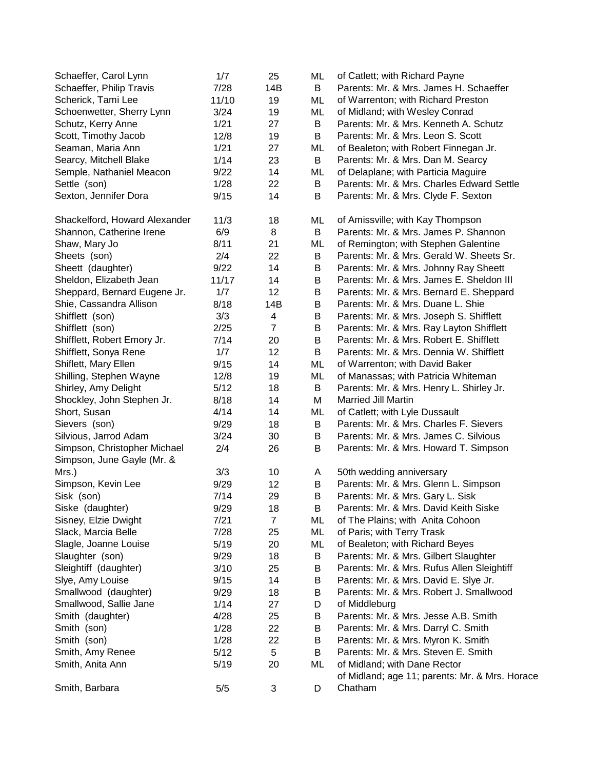| Parents: Mr. & Mrs. James H. Schaeffer<br>Schaeffer, Philip Travis<br>7/28<br>B<br>14B<br>Scherick, Tami Lee<br>11/10<br>19<br>ML<br>of Warrenton; with Richard Preston<br>Schoenwetter, Sherry Lynn<br>3/24<br>19<br>ML<br>of Midland; with Wesley Conrad<br>1/21<br>Schutz, Kerry Anne<br>27<br>B<br>Parents: Mr. & Mrs. Kenneth A. Schutz<br>Parents: Mr. & Mrs. Leon S. Scott<br>Scott, Timothy Jacob<br>12/8<br>19<br>B<br>1/21<br>Seaman, Maria Ann<br>27<br>ML<br>of Bealeton; with Robert Finnegan Jr.<br>1/14<br>23<br>B<br>Searcy, Mitchell Blake<br>Parents: Mr. & Mrs. Dan M. Searcy<br>9/22<br>14<br>ML<br>of Delaplane; with Particia Maguire<br>Semple, Nathaniel Meacon<br>22<br>1/28<br>B<br>Parents: Mr. & Mrs. Charles Edward Settle<br>Settle (son)<br>9/15<br>14<br>B<br>Sexton, Jennifer Dora<br>Parents: Mr. & Mrs. Clyde F. Sexton<br>Shackelford, Howard Alexander<br>11/3<br>of Amissville; with Kay Thompson<br>18<br>ML<br>Shannon, Catherine Irene<br>6/9<br>B<br>Parents: Mr. & Mrs. James P. Shannon<br>8<br>Shaw, Mary Jo<br>8/11<br>21<br>ML<br>of Remington; with Stephen Galentine<br>2/4<br>22<br>B<br>Parents: Mr. & Mrs. Gerald W. Sheets Sr.<br>Sheets (son)<br>9/22<br>14<br>Sheett (daughter)<br>Β<br>Parents: Mr. & Mrs. Johnny Ray Sheett<br>Sheldon, Elizabeth Jean<br>11/17<br>14<br>Parents: Mr. & Mrs. James E. Sheldon III<br>В<br>Sheppard, Bernard Eugene Jr.<br>1/7<br>12<br>B<br>Parents: Mr. & Mrs. Bernard E. Sheppard<br>Shie, Cassandra Allison<br>8/18<br>14B<br>B<br>Parents: Mr. & Mrs. Duane L. Shie<br>3/3<br>Parents: Mr. & Mrs. Joseph S. Shifflett<br>Shifflett (son)<br>4<br>B<br>$\overline{7}$<br>Shifflett (son)<br>B<br>Parents: Mr. & Mrs. Ray Layton Shifflett<br>2/25<br>Parents: Mr. & Mrs. Robert E. Shifflett<br>Shifflett, Robert Emory Jr.<br>20<br>B<br>7/14<br>Shifflett, Sonya Rene<br>1/7<br>12<br>B<br>Parents: Mr. & Mrs. Dennia W. Shifflett<br>Shiflett, Mary Ellen<br>9/15<br>14<br>ML<br>of Warrenton; with David Baker<br>Shilling, Stephen Wayne<br>19<br>12/8<br>ML<br>of Manassas; with Patricia Whiteman<br>Shirley, Amy Delight<br>18<br>B<br>Parents: Mr. & Mrs. Henry L. Shirley Jr.<br>5/12<br>Shockley, John Stephen Jr.<br>8/18<br>14<br>M<br><b>Married Jill Martin</b><br>Short, Susan<br>4/14<br>14<br>ML<br>of Catlett; with Lyle Dussault<br>Parents: Mr. & Mrs. Charles F. Sievers<br>Sievers (son)<br>9/29<br>18<br>B<br>Silvious, Jarrod Adam<br>3/24<br>B<br>Parents: Mr. & Mrs. James C. Silvious<br>30<br>Simpson, Christopher Michael<br>2/4<br>26<br>В<br>Parents: Mr. & Mrs. Howard T. Simpson<br>Simpson, June Gayle (Mr. &<br>3/3<br>10<br>Mrs.)<br>A<br>50th wedding anniversary<br>9/29<br>12<br>B<br>Parents: Mr. & Mrs. Glenn L. Simpson<br>Simpson, Kevin Lee<br>29<br>B<br>7/14 |  |
|---------------------------------------------------------------------------------------------------------------------------------------------------------------------------------------------------------------------------------------------------------------------------------------------------------------------------------------------------------------------------------------------------------------------------------------------------------------------------------------------------------------------------------------------------------------------------------------------------------------------------------------------------------------------------------------------------------------------------------------------------------------------------------------------------------------------------------------------------------------------------------------------------------------------------------------------------------------------------------------------------------------------------------------------------------------------------------------------------------------------------------------------------------------------------------------------------------------------------------------------------------------------------------------------------------------------------------------------------------------------------------------------------------------------------------------------------------------------------------------------------------------------------------------------------------------------------------------------------------------------------------------------------------------------------------------------------------------------------------------------------------------------------------------------------------------------------------------------------------------------------------------------------------------------------------------------------------------------------------------------------------------------------------------------------------------------------------------------------------------------------------------------------------------------------------------------------------------------------------------------------------------------------------------------------------------------------------------------------------------------------------------------------------------------------------------------------------------------------------------------------------------------------------------------------------------------------------------------------------------------------------------------------------------------------------------------------------------------------------------------------------------------------------------------------------|--|
|                                                                                                                                                                                                                                                                                                                                                                                                                                                                                                                                                                                                                                                                                                                                                                                                                                                                                                                                                                                                                                                                                                                                                                                                                                                                                                                                                                                                                                                                                                                                                                                                                                                                                                                                                                                                                                                                                                                                                                                                                                                                                                                                                                                                                                                                                                                                                                                                                                                                                                                                                                                                                                                                                                                                                                                                         |  |
|                                                                                                                                                                                                                                                                                                                                                                                                                                                                                                                                                                                                                                                                                                                                                                                                                                                                                                                                                                                                                                                                                                                                                                                                                                                                                                                                                                                                                                                                                                                                                                                                                                                                                                                                                                                                                                                                                                                                                                                                                                                                                                                                                                                                                                                                                                                                                                                                                                                                                                                                                                                                                                                                                                                                                                                                         |  |
|                                                                                                                                                                                                                                                                                                                                                                                                                                                                                                                                                                                                                                                                                                                                                                                                                                                                                                                                                                                                                                                                                                                                                                                                                                                                                                                                                                                                                                                                                                                                                                                                                                                                                                                                                                                                                                                                                                                                                                                                                                                                                                                                                                                                                                                                                                                                                                                                                                                                                                                                                                                                                                                                                                                                                                                                         |  |
|                                                                                                                                                                                                                                                                                                                                                                                                                                                                                                                                                                                                                                                                                                                                                                                                                                                                                                                                                                                                                                                                                                                                                                                                                                                                                                                                                                                                                                                                                                                                                                                                                                                                                                                                                                                                                                                                                                                                                                                                                                                                                                                                                                                                                                                                                                                                                                                                                                                                                                                                                                                                                                                                                                                                                                                                         |  |
|                                                                                                                                                                                                                                                                                                                                                                                                                                                                                                                                                                                                                                                                                                                                                                                                                                                                                                                                                                                                                                                                                                                                                                                                                                                                                                                                                                                                                                                                                                                                                                                                                                                                                                                                                                                                                                                                                                                                                                                                                                                                                                                                                                                                                                                                                                                                                                                                                                                                                                                                                                                                                                                                                                                                                                                                         |  |
|                                                                                                                                                                                                                                                                                                                                                                                                                                                                                                                                                                                                                                                                                                                                                                                                                                                                                                                                                                                                                                                                                                                                                                                                                                                                                                                                                                                                                                                                                                                                                                                                                                                                                                                                                                                                                                                                                                                                                                                                                                                                                                                                                                                                                                                                                                                                                                                                                                                                                                                                                                                                                                                                                                                                                                                                         |  |
|                                                                                                                                                                                                                                                                                                                                                                                                                                                                                                                                                                                                                                                                                                                                                                                                                                                                                                                                                                                                                                                                                                                                                                                                                                                                                                                                                                                                                                                                                                                                                                                                                                                                                                                                                                                                                                                                                                                                                                                                                                                                                                                                                                                                                                                                                                                                                                                                                                                                                                                                                                                                                                                                                                                                                                                                         |  |
|                                                                                                                                                                                                                                                                                                                                                                                                                                                                                                                                                                                                                                                                                                                                                                                                                                                                                                                                                                                                                                                                                                                                                                                                                                                                                                                                                                                                                                                                                                                                                                                                                                                                                                                                                                                                                                                                                                                                                                                                                                                                                                                                                                                                                                                                                                                                                                                                                                                                                                                                                                                                                                                                                                                                                                                                         |  |
|                                                                                                                                                                                                                                                                                                                                                                                                                                                                                                                                                                                                                                                                                                                                                                                                                                                                                                                                                                                                                                                                                                                                                                                                                                                                                                                                                                                                                                                                                                                                                                                                                                                                                                                                                                                                                                                                                                                                                                                                                                                                                                                                                                                                                                                                                                                                                                                                                                                                                                                                                                                                                                                                                                                                                                                                         |  |
|                                                                                                                                                                                                                                                                                                                                                                                                                                                                                                                                                                                                                                                                                                                                                                                                                                                                                                                                                                                                                                                                                                                                                                                                                                                                                                                                                                                                                                                                                                                                                                                                                                                                                                                                                                                                                                                                                                                                                                                                                                                                                                                                                                                                                                                                                                                                                                                                                                                                                                                                                                                                                                                                                                                                                                                                         |  |
|                                                                                                                                                                                                                                                                                                                                                                                                                                                                                                                                                                                                                                                                                                                                                                                                                                                                                                                                                                                                                                                                                                                                                                                                                                                                                                                                                                                                                                                                                                                                                                                                                                                                                                                                                                                                                                                                                                                                                                                                                                                                                                                                                                                                                                                                                                                                                                                                                                                                                                                                                                                                                                                                                                                                                                                                         |  |
|                                                                                                                                                                                                                                                                                                                                                                                                                                                                                                                                                                                                                                                                                                                                                                                                                                                                                                                                                                                                                                                                                                                                                                                                                                                                                                                                                                                                                                                                                                                                                                                                                                                                                                                                                                                                                                                                                                                                                                                                                                                                                                                                                                                                                                                                                                                                                                                                                                                                                                                                                                                                                                                                                                                                                                                                         |  |
|                                                                                                                                                                                                                                                                                                                                                                                                                                                                                                                                                                                                                                                                                                                                                                                                                                                                                                                                                                                                                                                                                                                                                                                                                                                                                                                                                                                                                                                                                                                                                                                                                                                                                                                                                                                                                                                                                                                                                                                                                                                                                                                                                                                                                                                                                                                                                                                                                                                                                                                                                                                                                                                                                                                                                                                                         |  |
|                                                                                                                                                                                                                                                                                                                                                                                                                                                                                                                                                                                                                                                                                                                                                                                                                                                                                                                                                                                                                                                                                                                                                                                                                                                                                                                                                                                                                                                                                                                                                                                                                                                                                                                                                                                                                                                                                                                                                                                                                                                                                                                                                                                                                                                                                                                                                                                                                                                                                                                                                                                                                                                                                                                                                                                                         |  |
|                                                                                                                                                                                                                                                                                                                                                                                                                                                                                                                                                                                                                                                                                                                                                                                                                                                                                                                                                                                                                                                                                                                                                                                                                                                                                                                                                                                                                                                                                                                                                                                                                                                                                                                                                                                                                                                                                                                                                                                                                                                                                                                                                                                                                                                                                                                                                                                                                                                                                                                                                                                                                                                                                                                                                                                                         |  |
|                                                                                                                                                                                                                                                                                                                                                                                                                                                                                                                                                                                                                                                                                                                                                                                                                                                                                                                                                                                                                                                                                                                                                                                                                                                                                                                                                                                                                                                                                                                                                                                                                                                                                                                                                                                                                                                                                                                                                                                                                                                                                                                                                                                                                                                                                                                                                                                                                                                                                                                                                                                                                                                                                                                                                                                                         |  |
|                                                                                                                                                                                                                                                                                                                                                                                                                                                                                                                                                                                                                                                                                                                                                                                                                                                                                                                                                                                                                                                                                                                                                                                                                                                                                                                                                                                                                                                                                                                                                                                                                                                                                                                                                                                                                                                                                                                                                                                                                                                                                                                                                                                                                                                                                                                                                                                                                                                                                                                                                                                                                                                                                                                                                                                                         |  |
|                                                                                                                                                                                                                                                                                                                                                                                                                                                                                                                                                                                                                                                                                                                                                                                                                                                                                                                                                                                                                                                                                                                                                                                                                                                                                                                                                                                                                                                                                                                                                                                                                                                                                                                                                                                                                                                                                                                                                                                                                                                                                                                                                                                                                                                                                                                                                                                                                                                                                                                                                                                                                                                                                                                                                                                                         |  |
|                                                                                                                                                                                                                                                                                                                                                                                                                                                                                                                                                                                                                                                                                                                                                                                                                                                                                                                                                                                                                                                                                                                                                                                                                                                                                                                                                                                                                                                                                                                                                                                                                                                                                                                                                                                                                                                                                                                                                                                                                                                                                                                                                                                                                                                                                                                                                                                                                                                                                                                                                                                                                                                                                                                                                                                                         |  |
|                                                                                                                                                                                                                                                                                                                                                                                                                                                                                                                                                                                                                                                                                                                                                                                                                                                                                                                                                                                                                                                                                                                                                                                                                                                                                                                                                                                                                                                                                                                                                                                                                                                                                                                                                                                                                                                                                                                                                                                                                                                                                                                                                                                                                                                                                                                                                                                                                                                                                                                                                                                                                                                                                                                                                                                                         |  |
|                                                                                                                                                                                                                                                                                                                                                                                                                                                                                                                                                                                                                                                                                                                                                                                                                                                                                                                                                                                                                                                                                                                                                                                                                                                                                                                                                                                                                                                                                                                                                                                                                                                                                                                                                                                                                                                                                                                                                                                                                                                                                                                                                                                                                                                                                                                                                                                                                                                                                                                                                                                                                                                                                                                                                                                                         |  |
|                                                                                                                                                                                                                                                                                                                                                                                                                                                                                                                                                                                                                                                                                                                                                                                                                                                                                                                                                                                                                                                                                                                                                                                                                                                                                                                                                                                                                                                                                                                                                                                                                                                                                                                                                                                                                                                                                                                                                                                                                                                                                                                                                                                                                                                                                                                                                                                                                                                                                                                                                                                                                                                                                                                                                                                                         |  |
|                                                                                                                                                                                                                                                                                                                                                                                                                                                                                                                                                                                                                                                                                                                                                                                                                                                                                                                                                                                                                                                                                                                                                                                                                                                                                                                                                                                                                                                                                                                                                                                                                                                                                                                                                                                                                                                                                                                                                                                                                                                                                                                                                                                                                                                                                                                                                                                                                                                                                                                                                                                                                                                                                                                                                                                                         |  |
|                                                                                                                                                                                                                                                                                                                                                                                                                                                                                                                                                                                                                                                                                                                                                                                                                                                                                                                                                                                                                                                                                                                                                                                                                                                                                                                                                                                                                                                                                                                                                                                                                                                                                                                                                                                                                                                                                                                                                                                                                                                                                                                                                                                                                                                                                                                                                                                                                                                                                                                                                                                                                                                                                                                                                                                                         |  |
|                                                                                                                                                                                                                                                                                                                                                                                                                                                                                                                                                                                                                                                                                                                                                                                                                                                                                                                                                                                                                                                                                                                                                                                                                                                                                                                                                                                                                                                                                                                                                                                                                                                                                                                                                                                                                                                                                                                                                                                                                                                                                                                                                                                                                                                                                                                                                                                                                                                                                                                                                                                                                                                                                                                                                                                                         |  |
|                                                                                                                                                                                                                                                                                                                                                                                                                                                                                                                                                                                                                                                                                                                                                                                                                                                                                                                                                                                                                                                                                                                                                                                                                                                                                                                                                                                                                                                                                                                                                                                                                                                                                                                                                                                                                                                                                                                                                                                                                                                                                                                                                                                                                                                                                                                                                                                                                                                                                                                                                                                                                                                                                                                                                                                                         |  |
|                                                                                                                                                                                                                                                                                                                                                                                                                                                                                                                                                                                                                                                                                                                                                                                                                                                                                                                                                                                                                                                                                                                                                                                                                                                                                                                                                                                                                                                                                                                                                                                                                                                                                                                                                                                                                                                                                                                                                                                                                                                                                                                                                                                                                                                                                                                                                                                                                                                                                                                                                                                                                                                                                                                                                                                                         |  |
|                                                                                                                                                                                                                                                                                                                                                                                                                                                                                                                                                                                                                                                                                                                                                                                                                                                                                                                                                                                                                                                                                                                                                                                                                                                                                                                                                                                                                                                                                                                                                                                                                                                                                                                                                                                                                                                                                                                                                                                                                                                                                                                                                                                                                                                                                                                                                                                                                                                                                                                                                                                                                                                                                                                                                                                                         |  |
|                                                                                                                                                                                                                                                                                                                                                                                                                                                                                                                                                                                                                                                                                                                                                                                                                                                                                                                                                                                                                                                                                                                                                                                                                                                                                                                                                                                                                                                                                                                                                                                                                                                                                                                                                                                                                                                                                                                                                                                                                                                                                                                                                                                                                                                                                                                                                                                                                                                                                                                                                                                                                                                                                                                                                                                                         |  |
|                                                                                                                                                                                                                                                                                                                                                                                                                                                                                                                                                                                                                                                                                                                                                                                                                                                                                                                                                                                                                                                                                                                                                                                                                                                                                                                                                                                                                                                                                                                                                                                                                                                                                                                                                                                                                                                                                                                                                                                                                                                                                                                                                                                                                                                                                                                                                                                                                                                                                                                                                                                                                                                                                                                                                                                                         |  |
|                                                                                                                                                                                                                                                                                                                                                                                                                                                                                                                                                                                                                                                                                                                                                                                                                                                                                                                                                                                                                                                                                                                                                                                                                                                                                                                                                                                                                                                                                                                                                                                                                                                                                                                                                                                                                                                                                                                                                                                                                                                                                                                                                                                                                                                                                                                                                                                                                                                                                                                                                                                                                                                                                                                                                                                                         |  |
|                                                                                                                                                                                                                                                                                                                                                                                                                                                                                                                                                                                                                                                                                                                                                                                                                                                                                                                                                                                                                                                                                                                                                                                                                                                                                                                                                                                                                                                                                                                                                                                                                                                                                                                                                                                                                                                                                                                                                                                                                                                                                                                                                                                                                                                                                                                                                                                                                                                                                                                                                                                                                                                                                                                                                                                                         |  |
|                                                                                                                                                                                                                                                                                                                                                                                                                                                                                                                                                                                                                                                                                                                                                                                                                                                                                                                                                                                                                                                                                                                                                                                                                                                                                                                                                                                                                                                                                                                                                                                                                                                                                                                                                                                                                                                                                                                                                                                                                                                                                                                                                                                                                                                                                                                                                                                                                                                                                                                                                                                                                                                                                                                                                                                                         |  |
| Parents: Mr. & Mrs. Gary L. Sisk<br>Sisk (son)                                                                                                                                                                                                                                                                                                                                                                                                                                                                                                                                                                                                                                                                                                                                                                                                                                                                                                                                                                                                                                                                                                                                                                                                                                                                                                                                                                                                                                                                                                                                                                                                                                                                                                                                                                                                                                                                                                                                                                                                                                                                                                                                                                                                                                                                                                                                                                                                                                                                                                                                                                                                                                                                                                                                                          |  |
| Siske (daughter)<br>B<br>Parents: Mr. & Mrs. David Keith Siske<br>9/29<br>18                                                                                                                                                                                                                                                                                                                                                                                                                                                                                                                                                                                                                                                                                                                                                                                                                                                                                                                                                                                                                                                                                                                                                                                                                                                                                                                                                                                                                                                                                                                                                                                                                                                                                                                                                                                                                                                                                                                                                                                                                                                                                                                                                                                                                                                                                                                                                                                                                                                                                                                                                                                                                                                                                                                            |  |
| $\overline{7}$<br>Sisney, Elzie Dwight<br>7/21<br>ML<br>of The Plains; with Anita Cohoon                                                                                                                                                                                                                                                                                                                                                                                                                                                                                                                                                                                                                                                                                                                                                                                                                                                                                                                                                                                                                                                                                                                                                                                                                                                                                                                                                                                                                                                                                                                                                                                                                                                                                                                                                                                                                                                                                                                                                                                                                                                                                                                                                                                                                                                                                                                                                                                                                                                                                                                                                                                                                                                                                                                |  |
| Slack, Marcia Belle<br>7/28<br>25<br>ML<br>of Paris; with Terry Trask                                                                                                                                                                                                                                                                                                                                                                                                                                                                                                                                                                                                                                                                                                                                                                                                                                                                                                                                                                                                                                                                                                                                                                                                                                                                                                                                                                                                                                                                                                                                                                                                                                                                                                                                                                                                                                                                                                                                                                                                                                                                                                                                                                                                                                                                                                                                                                                                                                                                                                                                                                                                                                                                                                                                   |  |
| Slagle, Joanne Louise<br>5/19<br>20<br>ML<br>of Bealeton; with Richard Beyes                                                                                                                                                                                                                                                                                                                                                                                                                                                                                                                                                                                                                                                                                                                                                                                                                                                                                                                                                                                                                                                                                                                                                                                                                                                                                                                                                                                                                                                                                                                                                                                                                                                                                                                                                                                                                                                                                                                                                                                                                                                                                                                                                                                                                                                                                                                                                                                                                                                                                                                                                                                                                                                                                                                            |  |
| 18<br>Slaughter (son)<br>9/29<br>В<br>Parents: Mr. & Mrs. Gilbert Slaughter                                                                                                                                                                                                                                                                                                                                                                                                                                                                                                                                                                                                                                                                                                                                                                                                                                                                                                                                                                                                                                                                                                                                                                                                                                                                                                                                                                                                                                                                                                                                                                                                                                                                                                                                                                                                                                                                                                                                                                                                                                                                                                                                                                                                                                                                                                                                                                                                                                                                                                                                                                                                                                                                                                                             |  |
| Sleightiff (daughter)<br>3/10<br>25<br>Parents: Mr. & Mrs. Rufus Allen Sleightiff<br>Β                                                                                                                                                                                                                                                                                                                                                                                                                                                                                                                                                                                                                                                                                                                                                                                                                                                                                                                                                                                                                                                                                                                                                                                                                                                                                                                                                                                                                                                                                                                                                                                                                                                                                                                                                                                                                                                                                                                                                                                                                                                                                                                                                                                                                                                                                                                                                                                                                                                                                                                                                                                                                                                                                                                  |  |
| Slye, Amy Louise<br>9/15<br>14<br>Β<br>Parents: Mr. & Mrs. David E. Slye Jr.                                                                                                                                                                                                                                                                                                                                                                                                                                                                                                                                                                                                                                                                                                                                                                                                                                                                                                                                                                                                                                                                                                                                                                                                                                                                                                                                                                                                                                                                                                                                                                                                                                                                                                                                                                                                                                                                                                                                                                                                                                                                                                                                                                                                                                                                                                                                                                                                                                                                                                                                                                                                                                                                                                                            |  |
| Smallwood (daughter)<br>9/29<br>18<br>Parents: Mr. & Mrs. Robert J. Smallwood<br>B                                                                                                                                                                                                                                                                                                                                                                                                                                                                                                                                                                                                                                                                                                                                                                                                                                                                                                                                                                                                                                                                                                                                                                                                                                                                                                                                                                                                                                                                                                                                                                                                                                                                                                                                                                                                                                                                                                                                                                                                                                                                                                                                                                                                                                                                                                                                                                                                                                                                                                                                                                                                                                                                                                                      |  |
| Smallwood, Sallie Jane<br>1/14<br>of Middleburg<br>27<br>D                                                                                                                                                                                                                                                                                                                                                                                                                                                                                                                                                                                                                                                                                                                                                                                                                                                                                                                                                                                                                                                                                                                                                                                                                                                                                                                                                                                                                                                                                                                                                                                                                                                                                                                                                                                                                                                                                                                                                                                                                                                                                                                                                                                                                                                                                                                                                                                                                                                                                                                                                                                                                                                                                                                                              |  |
| Parents: Mr. & Mrs. Jesse A.B. Smith<br>Smith (daughter)<br>4/28<br>25<br>B                                                                                                                                                                                                                                                                                                                                                                                                                                                                                                                                                                                                                                                                                                                                                                                                                                                                                                                                                                                                                                                                                                                                                                                                                                                                                                                                                                                                                                                                                                                                                                                                                                                                                                                                                                                                                                                                                                                                                                                                                                                                                                                                                                                                                                                                                                                                                                                                                                                                                                                                                                                                                                                                                                                             |  |
| Smith (son)<br>1/28<br>22<br>Β<br>Parents: Mr. & Mrs. Darryl C. Smith                                                                                                                                                                                                                                                                                                                                                                                                                                                                                                                                                                                                                                                                                                                                                                                                                                                                                                                                                                                                                                                                                                                                                                                                                                                                                                                                                                                                                                                                                                                                                                                                                                                                                                                                                                                                                                                                                                                                                                                                                                                                                                                                                                                                                                                                                                                                                                                                                                                                                                                                                                                                                                                                                                                                   |  |
| Smith (son)<br>1/28<br>22<br>Parents: Mr. & Mrs. Myron K. Smith<br>Β                                                                                                                                                                                                                                                                                                                                                                                                                                                                                                                                                                                                                                                                                                                                                                                                                                                                                                                                                                                                                                                                                                                                                                                                                                                                                                                                                                                                                                                                                                                                                                                                                                                                                                                                                                                                                                                                                                                                                                                                                                                                                                                                                                                                                                                                                                                                                                                                                                                                                                                                                                                                                                                                                                                                    |  |
| Smith, Amy Renee<br>5/12<br>B<br>Parents: Mr. & Mrs. Steven E. Smith<br>5                                                                                                                                                                                                                                                                                                                                                                                                                                                                                                                                                                                                                                                                                                                                                                                                                                                                                                                                                                                                                                                                                                                                                                                                                                                                                                                                                                                                                                                                                                                                                                                                                                                                                                                                                                                                                                                                                                                                                                                                                                                                                                                                                                                                                                                                                                                                                                                                                                                                                                                                                                                                                                                                                                                               |  |
| Smith, Anita Ann<br>5/19<br>of Midland; with Dane Rector<br>20<br>ML                                                                                                                                                                                                                                                                                                                                                                                                                                                                                                                                                                                                                                                                                                                                                                                                                                                                                                                                                                                                                                                                                                                                                                                                                                                                                                                                                                                                                                                                                                                                                                                                                                                                                                                                                                                                                                                                                                                                                                                                                                                                                                                                                                                                                                                                                                                                                                                                                                                                                                                                                                                                                                                                                                                                    |  |
| of Midland; age 11; parents: Mr. & Mrs. Horace                                                                                                                                                                                                                                                                                                                                                                                                                                                                                                                                                                                                                                                                                                                                                                                                                                                                                                                                                                                                                                                                                                                                                                                                                                                                                                                                                                                                                                                                                                                                                                                                                                                                                                                                                                                                                                                                                                                                                                                                                                                                                                                                                                                                                                                                                                                                                                                                                                                                                                                                                                                                                                                                                                                                                          |  |
| Chatham<br>Smith, Barbara<br>5/5<br>3<br>D                                                                                                                                                                                                                                                                                                                                                                                                                                                                                                                                                                                                                                                                                                                                                                                                                                                                                                                                                                                                                                                                                                                                                                                                                                                                                                                                                                                                                                                                                                                                                                                                                                                                                                                                                                                                                                                                                                                                                                                                                                                                                                                                                                                                                                                                                                                                                                                                                                                                                                                                                                                                                                                                                                                                                              |  |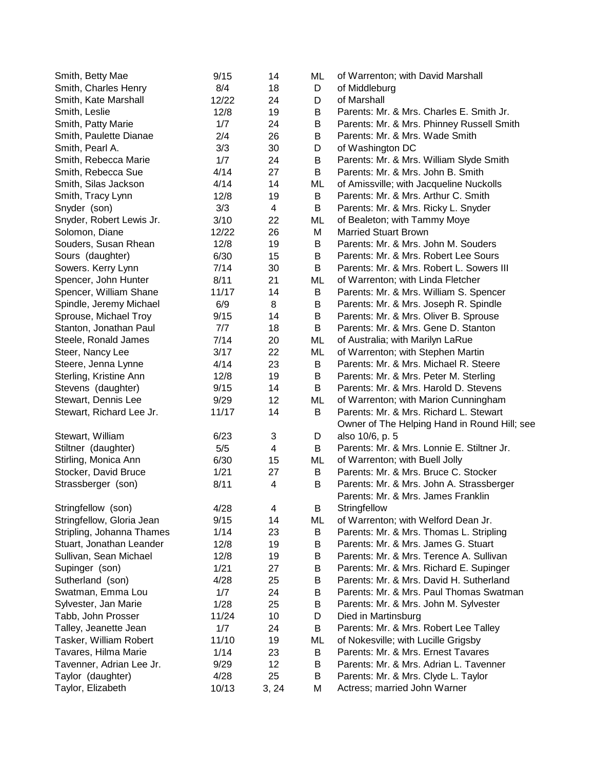| 8/4<br>Smith, Charles Henry<br>18<br>of Middleburg<br>D<br>12/22<br>of Marshall<br>Smith, Kate Marshall<br>24<br>D<br>12/8<br>Smith, Leslie<br>19<br>Parents: Mr. & Mrs. Charles E. Smith Jr.<br>B<br>1/7<br>Smith, Patty Marie<br>24<br>B<br>Parents: Mr. & Mrs. Phinney Russell Smith<br>2/4<br>26<br>B<br>Smith, Paulette Dianae<br>Parents: Mr. & Mrs. Wade Smith<br>3/3<br>30<br>Smith, Pearl A.<br>D<br>of Washington DC<br>1/7<br>Smith, Rebecca Marie<br>24<br>B<br>Parents: Mr. & Mrs. William Slyde Smith<br>4/14<br>27<br>B<br>Parents: Mr. & Mrs. John B. Smith<br>Smith, Rebecca Sue<br>4/14<br>14<br>Smith, Silas Jackson<br>ML<br>of Amissville; with Jacqueline Nuckolls<br>12/8<br>19<br>Parents: Mr. & Mrs. Arthur C. Smith<br>B<br>Smith, Tracy Lynn |  |
|-------------------------------------------------------------------------------------------------------------------------------------------------------------------------------------------------------------------------------------------------------------------------------------------------------------------------------------------------------------------------------------------------------------------------------------------------------------------------------------------------------------------------------------------------------------------------------------------------------------------------------------------------------------------------------------------------------------------------------------------------------------------------|--|
|                                                                                                                                                                                                                                                                                                                                                                                                                                                                                                                                                                                                                                                                                                                                                                         |  |
|                                                                                                                                                                                                                                                                                                                                                                                                                                                                                                                                                                                                                                                                                                                                                                         |  |
|                                                                                                                                                                                                                                                                                                                                                                                                                                                                                                                                                                                                                                                                                                                                                                         |  |
|                                                                                                                                                                                                                                                                                                                                                                                                                                                                                                                                                                                                                                                                                                                                                                         |  |
|                                                                                                                                                                                                                                                                                                                                                                                                                                                                                                                                                                                                                                                                                                                                                                         |  |
|                                                                                                                                                                                                                                                                                                                                                                                                                                                                                                                                                                                                                                                                                                                                                                         |  |
|                                                                                                                                                                                                                                                                                                                                                                                                                                                                                                                                                                                                                                                                                                                                                                         |  |
|                                                                                                                                                                                                                                                                                                                                                                                                                                                                                                                                                                                                                                                                                                                                                                         |  |
|                                                                                                                                                                                                                                                                                                                                                                                                                                                                                                                                                                                                                                                                                                                                                                         |  |
|                                                                                                                                                                                                                                                                                                                                                                                                                                                                                                                                                                                                                                                                                                                                                                         |  |
| 3/3<br>Parents: Mr. & Mrs. Ricky L. Snyder<br>Snyder (son)<br>$\overline{4}$<br>В                                                                                                                                                                                                                                                                                                                                                                                                                                                                                                                                                                                                                                                                                       |  |
| Snyder, Robert Lewis Jr.<br>3/10<br>22<br>of Bealeton; with Tammy Moye<br>ML                                                                                                                                                                                                                                                                                                                                                                                                                                                                                                                                                                                                                                                                                            |  |
| 12/22<br>26<br><b>Married Stuart Brown</b><br>Solomon, Diane<br>M                                                                                                                                                                                                                                                                                                                                                                                                                                                                                                                                                                                                                                                                                                       |  |
| Souders, Susan Rhean<br>12/8<br>19<br>Parents: Mr. & Mrs. John M. Souders<br>B                                                                                                                                                                                                                                                                                                                                                                                                                                                                                                                                                                                                                                                                                          |  |
| Sours (daughter)<br>6/30<br>15<br>B<br>Parents: Mr. & Mrs. Robert Lee Sours                                                                                                                                                                                                                                                                                                                                                                                                                                                                                                                                                                                                                                                                                             |  |
| Sowers. Kerry Lynn<br>7/14<br>30<br>B<br>Parents: Mr. & Mrs. Robert L. Sowers III                                                                                                                                                                                                                                                                                                                                                                                                                                                                                                                                                                                                                                                                                       |  |
| Spencer, John Hunter<br>8/11<br>21<br>ML<br>of Warrenton; with Linda Fletcher                                                                                                                                                                                                                                                                                                                                                                                                                                                                                                                                                                                                                                                                                           |  |
| Spencer, William Shane<br>11/17<br>14<br>Parents: Mr. & Mrs. William S. Spencer<br>Β                                                                                                                                                                                                                                                                                                                                                                                                                                                                                                                                                                                                                                                                                    |  |
| Spindle, Jeremy Michael<br>6/9<br>8<br>Parents: Mr. & Mrs. Joseph R. Spindle<br>B                                                                                                                                                                                                                                                                                                                                                                                                                                                                                                                                                                                                                                                                                       |  |
| Sprouse, Michael Troy<br>9/15<br>B<br>Parents: Mr. & Mrs. Oliver B. Sprouse<br>14                                                                                                                                                                                                                                                                                                                                                                                                                                                                                                                                                                                                                                                                                       |  |
| Stanton, Jonathan Paul<br>7/7<br>18<br>B<br>Parents: Mr. & Mrs. Gene D. Stanton                                                                                                                                                                                                                                                                                                                                                                                                                                                                                                                                                                                                                                                                                         |  |
| Steele, Ronald James<br>7/14<br>20<br>ML<br>of Australia; with Marilyn LaRue                                                                                                                                                                                                                                                                                                                                                                                                                                                                                                                                                                                                                                                                                            |  |
| 3/17<br>22<br>of Warrenton; with Stephen Martin<br>Steer, Nancy Lee<br>ML                                                                                                                                                                                                                                                                                                                                                                                                                                                                                                                                                                                                                                                                                               |  |
| Parents: Mr. & Mrs. Michael R. Steere<br>Steere, Jenna Lynne<br>4/14<br>23<br>B                                                                                                                                                                                                                                                                                                                                                                                                                                                                                                                                                                                                                                                                                         |  |
| Sterling, Kristine Ann<br>12/8<br>19<br>B<br>Parents: Mr. & Mrs. Peter M. Sterling                                                                                                                                                                                                                                                                                                                                                                                                                                                                                                                                                                                                                                                                                      |  |
| Parents: Mr. & Mrs. Harold D. Stevens<br>Stevens (daughter)<br>9/15<br>14<br>B                                                                                                                                                                                                                                                                                                                                                                                                                                                                                                                                                                                                                                                                                          |  |
| Stewart, Dennis Lee<br>9/29<br>12<br>of Warrenton; with Marion Cunningham<br>ML                                                                                                                                                                                                                                                                                                                                                                                                                                                                                                                                                                                                                                                                                         |  |
| Stewart, Richard Lee Jr.<br>11/17<br>14<br>Parents: Mr. & Mrs. Richard L. Stewart<br>В                                                                                                                                                                                                                                                                                                                                                                                                                                                                                                                                                                                                                                                                                  |  |
| Owner of The Helping Hand in Round Hill; see                                                                                                                                                                                                                                                                                                                                                                                                                                                                                                                                                                                                                                                                                                                            |  |
| 3<br>also 10/6, p. 5<br>Stewart, William<br>6/23<br>D                                                                                                                                                                                                                                                                                                                                                                                                                                                                                                                                                                                                                                                                                                                   |  |
| 5/5<br>Stiltner (daughter)<br>$\overline{\mathcal{A}}$<br>Parents: Mr. & Mrs. Lonnie E. Stiltner Jr.<br>В                                                                                                                                                                                                                                                                                                                                                                                                                                                                                                                                                                                                                                                               |  |
| 6/30<br>Stirling, Monica Ann<br>15<br>ML<br>of Warrenton; with Buell Jolly                                                                                                                                                                                                                                                                                                                                                                                                                                                                                                                                                                                                                                                                                              |  |
| 1/21<br>Stocker, David Bruce<br>27<br>B<br>Parents: Mr. & Mrs. Bruce C. Stocker                                                                                                                                                                                                                                                                                                                                                                                                                                                                                                                                                                                                                                                                                         |  |
| 8/11<br>Strassberger (son)<br>4<br>B<br>Parents: Mr. & Mrs. John A. Strassberger                                                                                                                                                                                                                                                                                                                                                                                                                                                                                                                                                                                                                                                                                        |  |
| Parents: Mr. & Mrs. James Franklin                                                                                                                                                                                                                                                                                                                                                                                                                                                                                                                                                                                                                                                                                                                                      |  |
| Stringfellow (son)<br>4/28<br>4<br>Β<br>Stringfellow                                                                                                                                                                                                                                                                                                                                                                                                                                                                                                                                                                                                                                                                                                                    |  |
| Stringfellow, Gloria Jean<br>9/15<br>14<br>ML<br>of Warrenton; with Welford Dean Jr.                                                                                                                                                                                                                                                                                                                                                                                                                                                                                                                                                                                                                                                                                    |  |
| 23<br>Stripling, Johanna Thames<br>1/14<br>Parents: Mr. & Mrs. Thomas L. Stripling<br>B                                                                                                                                                                                                                                                                                                                                                                                                                                                                                                                                                                                                                                                                                 |  |
| Stuart, Jonathan Leander<br>12/8<br>19<br>Parents: Mr. & Mrs. James G. Stuart<br>В                                                                                                                                                                                                                                                                                                                                                                                                                                                                                                                                                                                                                                                                                      |  |
| Sullivan, Sean Michael<br>12/8<br>19<br>В<br>Parents: Mr. & Mrs. Terence A. Sullivan                                                                                                                                                                                                                                                                                                                                                                                                                                                                                                                                                                                                                                                                                    |  |
| Supinger (son)<br>1/21<br>27<br>Β<br>Parents: Mr. & Mrs. Richard E. Supinger                                                                                                                                                                                                                                                                                                                                                                                                                                                                                                                                                                                                                                                                                            |  |
| Sutherland (son)<br>4/28<br>25<br>Β<br>Parents: Mr. & Mrs. David H. Sutherland                                                                                                                                                                                                                                                                                                                                                                                                                                                                                                                                                                                                                                                                                          |  |
| 1/7<br>Parents: Mr. & Mrs. Paul Thomas Swatman<br>Swatman, Emma Lou<br>24<br>Β                                                                                                                                                                                                                                                                                                                                                                                                                                                                                                                                                                                                                                                                                          |  |
| Sylvester, Jan Marie<br>1/28<br>25<br>Parents: Mr. & Mrs. John M. Sylvester<br>B                                                                                                                                                                                                                                                                                                                                                                                                                                                                                                                                                                                                                                                                                        |  |
| 10<br>Tabb, John Prosser<br>11/24<br>D<br>Died in Martinsburg                                                                                                                                                                                                                                                                                                                                                                                                                                                                                                                                                                                                                                                                                                           |  |
| 1/7<br>Parents: Mr. & Mrs. Robert Lee Talley<br>Talley, Jeanette Jean<br>24<br>B                                                                                                                                                                                                                                                                                                                                                                                                                                                                                                                                                                                                                                                                                        |  |
| Tasker, William Robert<br>11/10<br>19<br>ML<br>of Nokesville; with Lucille Grigsby                                                                                                                                                                                                                                                                                                                                                                                                                                                                                                                                                                                                                                                                                      |  |
| Tavares, Hilma Marie<br>Parents: Mr. & Mrs. Ernest Tavares<br>1/14<br>23<br>B                                                                                                                                                                                                                                                                                                                                                                                                                                                                                                                                                                                                                                                                                           |  |
| Tavenner, Adrian Lee Jr.<br>Parents: Mr. & Mrs. Adrian L. Tavenner<br>9/29<br>12<br>B                                                                                                                                                                                                                                                                                                                                                                                                                                                                                                                                                                                                                                                                                   |  |
| 25<br>Taylor (daughter)<br>4/28<br>Parents: Mr. & Mrs. Clyde L. Taylor<br>B                                                                                                                                                                                                                                                                                                                                                                                                                                                                                                                                                                                                                                                                                             |  |
| Taylor, Elizabeth<br>Actress; married John Warner<br>10/13<br>3, 24<br>M                                                                                                                                                                                                                                                                                                                                                                                                                                                                                                                                                                                                                                                                                                |  |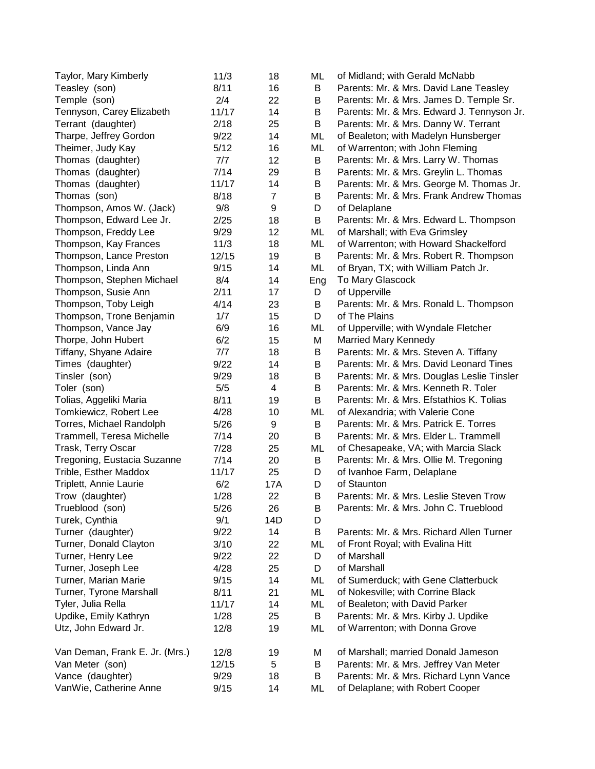| Taylor, Mary Kimberly          | 11/3  | 18             | ML  | of Midland; with Gerald McNabb             |
|--------------------------------|-------|----------------|-----|--------------------------------------------|
| Teasley (son)                  | 8/11  | 16             | B   | Parents: Mr. & Mrs. David Lane Teasley     |
| Temple (son)                   | 2/4   | 22             | Β   | Parents: Mr. & Mrs. James D. Temple Sr.    |
| Tennyson, Carey Elizabeth      | 11/17 | 14             | В   | Parents: Mr. & Mrs. Edward J. Tennyson Jr. |
| Terrant (daughter)             | 2/18  | 25             | В   | Parents: Mr. & Mrs. Danny W. Terrant       |
| Tharpe, Jeffrey Gordon         | 9/22  | 14             | ML  | of Bealeton; with Madelyn Hunsberger       |
| Theimer, Judy Kay              | 5/12  | 16             | ML  | of Warrenton; with John Fleming            |
| Thomas (daughter)              | 7/7   | 12             | B   | Parents: Mr. & Mrs. Larry W. Thomas        |
| Thomas (daughter)              | 7/14  | 29             | B   | Parents: Mr. & Mrs. Greylin L. Thomas      |
| Thomas (daughter)              | 11/17 | 14             | B   | Parents: Mr. & Mrs. George M. Thomas Jr.   |
| Thomas (son)                   | 8/18  | $\overline{7}$ | B   | Parents: Mr. & Mrs. Frank Andrew Thomas    |
| Thompson, Amos W. (Jack)       | 9/8   | 9              | D   | of Delaplane                               |
| Thompson, Edward Lee Jr.       | 2/25  | 18             | B   | Parents: Mr. & Mrs. Edward L. Thompson     |
| Thompson, Freddy Lee           | 9/29  | 12             | ML  | of Marshall; with Eva Grimsley             |
| Thompson, Kay Frances          | 11/3  | 18             | ML  | of Warrenton; with Howard Shackelford      |
| Thompson, Lance Preston        | 12/15 | 19             | B   | Parents: Mr. & Mrs. Robert R. Thompson     |
| Thompson, Linda Ann            | 9/15  | 14             | ML  | of Bryan, TX; with William Patch Jr.       |
| Thompson, Stephen Michael      | 8/4   | 14             | Eng | To Mary Glascock                           |
| Thompson, Susie Ann            | 2/11  | 17             | D   | of Upperville                              |
| Thompson, Toby Leigh           | 4/14  | 23             | B   | Parents: Mr. & Mrs. Ronald L. Thompson     |
| Thompson, Trone Benjamin       | 1/7   | 15             | D   | of The Plains                              |
| Thompson, Vance Jay            | 6/9   | 16             | ML  | of Upperville; with Wyndale Fletcher       |
| Thorpe, John Hubert            | 6/2   | 15             | M   | <b>Married Mary Kennedy</b>                |
| Tiffany, Shyane Adaire         | 7/7   | 18             | B   | Parents: Mr. & Mrs. Steven A. Tiffany      |
| Times (daughter)               | 9/22  | 14             | B   | Parents: Mr. & Mrs. David Leonard Tines    |
| Tinsler (son)                  | 9/29  | 18             | B   | Parents: Mr. & Mrs. Douglas Leslie Tinsler |
| Toler (son)                    | 5/5   | 4              | B   | Parents: Mr. & Mrs. Kenneth R. Toler       |
| Tolias, Aggeliki Maria         | 8/11  | 19             | B   | Parents: Mr. & Mrs. Efstathios K. Tolias   |
| Tomkiewicz, Robert Lee         | 4/28  | 10             | ML  | of Alexandria; with Valerie Cone           |
| Torres, Michael Randolph       | 5/26  | 9              | B   | Parents: Mr. & Mrs. Patrick E. Torres      |
| Trammell, Teresa Michelle      | 7/14  | 20             | B   | Parents: Mr. & Mrs. Elder L. Trammell      |
| Trask, Terry Oscar             | 7/28  | 25             | ML  | of Chesapeake, VA; with Marcia Slack       |
| Tregoning, Eustacia Suzanne    | 7/14  | 20             | B   | Parents: Mr. & Mrs. Ollie M. Tregoning     |
| Trible, Esther Maddox          | 11/17 | 25             | D   | of Ivanhoe Farm, Delaplane                 |
| Triplett, Annie Laurie         | 6/2   | 17A            | D   | of Staunton                                |
| Trow (daughter)                | 1/28  | 22             | B   | Parents: Mr. & Mrs. Leslie Steven Trow     |
| Trueblood (son)                | 5/26  | 26             | B   | Parents: Mr. & Mrs. John C. Trueblood      |
| Turek, Cynthia                 | 9/1   | 14D            | D   |                                            |
| Turner (daughter)              | 9/22  | 14             | B   | Parents: Mr. & Mrs. Richard Allen Turner   |
| Turner, Donald Clayton         | 3/10  | 22             | ML  | of Front Royal; with Evalina Hitt          |
| Turner, Henry Lee              | 9/22  | 22             | D   | of Marshall                                |
| Turner, Joseph Lee             | 4/28  | 25             | D   | of Marshall                                |
| Turner, Marian Marie           | 9/15  | 14             | ML  | of Sumerduck; with Gene Clatterbuck        |
| Turner, Tyrone Marshall        | 8/11  | 21             | ML  | of Nokesville; with Corrine Black          |
| Tyler, Julia Rella             | 11/17 | 14             | ML  | of Bealeton; with David Parker             |
| Updike, Emily Kathryn          | 1/28  | 25             | B   | Parents: Mr. & Mrs. Kirby J. Updike        |
| Utz, John Edward Jr.           | 12/8  | 19             | ML  | of Warrenton; with Donna Grove             |
| Van Deman, Frank E. Jr. (Mrs.) | 12/8  | 19             | M   | of Marshall; married Donald Jameson        |
| Van Meter (son)                | 12/15 | 5              | B   | Parents: Mr. & Mrs. Jeffrey Van Meter      |
| Vance (daughter)               | 9/29  | 18             | B   | Parents: Mr. & Mrs. Richard Lynn Vance     |
| VanWie, Catherine Anne         | 9/15  | 14             | ML  | of Delaplane; with Robert Cooper           |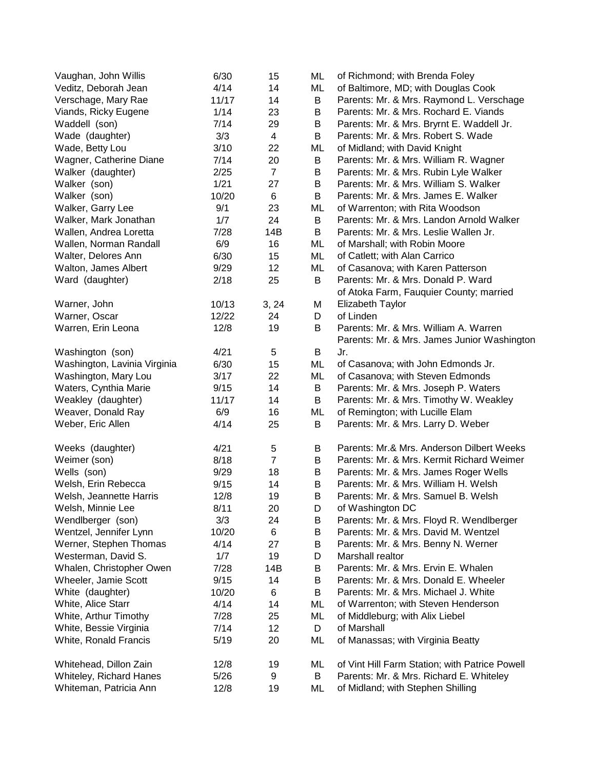| Vaughan, John Willis         | 6/30  | 15             | ML | of Richmond; with Brenda Foley                 |
|------------------------------|-------|----------------|----|------------------------------------------------|
| Veditz, Deborah Jean         | 4/14  | 14             | ML | of Baltimore, MD; with Douglas Cook            |
| Verschage, Mary Rae          | 11/17 | 14             | B  | Parents: Mr. & Mrs. Raymond L. Verschage       |
| Viands, Ricky Eugene         | 1/14  | 23             | В  | Parents: Mr. & Mrs. Rochard E. Viands          |
| Waddell (son)                | 7/14  | 29             | В  | Parents: Mr. & Mrs. Bryrnt E. Waddell Jr.      |
| Wade (daughter)              | 3/3   | $\overline{4}$ | B  | Parents: Mr. & Mrs. Robert S. Wade             |
| Wade, Betty Lou              | 3/10  | 22             | ML | of Midland; with David Knight                  |
| Wagner, Catherine Diane      | 7/14  | 20             | Β  | Parents: Mr. & Mrs. William R. Wagner          |
| Walker (daughter)            | 2/25  | $\overline{7}$ | B  | Parents: Mr. & Mrs. Rubin Lyle Walker          |
| Walker (son)                 | 1/21  | 27             | B  | Parents: Mr. & Mrs. William S. Walker          |
| Walker (son)                 | 10/20 | $\,6$          | B  | Parents: Mr. & Mrs. James E. Walker            |
| Walker, Garry Lee            | 9/1   | 23             | ML | of Warrenton; with Rita Woodson                |
| Walker, Mark Jonathan        | 1/7   | 24             | В  | Parents: Mr. & Mrs. Landon Arnold Walker       |
| Wallen, Andrea Loretta       | 7/28  | 14B            | B  | Parents: Mr. & Mrs. Leslie Wallen Jr.          |
| Wallen, Norman Randall       | 6/9   | 16             | ML | of Marshall; with Robin Moore                  |
| Walter, Delores Ann          | 6/30  | 15             | ML | of Catlett; with Alan Carrico                  |
| Walton, James Albert         | 9/29  | 12             | ML | of Casanova; with Karen Patterson              |
| Ward (daughter)              | 2/18  | 25             | B  | Parents: Mr. & Mrs. Donald P. Ward             |
|                              |       |                |    | of Atoka Farm, Fauquier County; married        |
| Warner, John                 | 10/13 | 3, 24          | M  | Elizabeth Taylor                               |
| Warner, Oscar                | 12/22 | 24             | D  | of Linden                                      |
| Warren, Erin Leona           | 12/8  | 19             | В  | Parents: Mr. & Mrs. William A. Warren          |
|                              |       |                |    | Parents: Mr. & Mrs. James Junior Washington    |
| Washington (son)             | 4/21  | 5              | B  | Jr.                                            |
| Washington, Lavinia Virginia | 6/30  | 15             | ML | of Casanova; with John Edmonds Jr.             |
| Washington, Mary Lou         | 3/17  | 22             | ML | of Casanova; with Steven Edmonds               |
|                              | 9/15  | 14             | B  |                                                |
| Waters, Cynthia Marie        |       |                |    | Parents: Mr. & Mrs. Joseph P. Waters           |
| Weakley (daughter)           | 11/17 | 14             | B  | Parents: Mr. & Mrs. Timothy W. Weakley         |
| Weaver, Donald Ray           | 6/9   | 16             | ML | of Remington; with Lucille Elam                |
| Weber, Eric Allen            | 4/14  | 25             | В  | Parents: Mr. & Mrs. Larry D. Weber             |
| Weeks (daughter)             | 4/21  | 5              | B  | Parents: Mr.& Mrs. Anderson Dilbert Weeks      |
| Weimer (son)                 | 8/18  | $\overline{7}$ | В  | Parents: Mr. & Mrs. Kermit Richard Weimer      |
| Wells (son)                  | 9/29  | 18             | В  | Parents: Mr. & Mrs. James Roger Wells          |
| Welsh, Erin Rebecca          | 9/15  | 14             | B  | Parents: Mr. & Mrs. William H. Welsh           |
| Welsh, Jeannette Harris      | 12/8  | 19             | B  | Parents: Mr. & Mrs. Samuel B. Welsh            |
| Welsh, Minnie Lee            | 8/11  | 20             | D  | of Washington DC                               |
| Wendlberger (son)            | 3/3   | 24             | B  | Parents: Mr. & Mrs. Floyd R. Wendlberger       |
| Wentzel, Jennifer Lynn       | 10/20 | 6              | Β  | Parents: Mr. & Mrs. David M. Wentzel           |
| Werner, Stephen Thomas       | 4/14  | 27             | B  | Parents: Mr. & Mrs. Benny N. Werner            |
| Westerman, David S.          | 1/7   | 19             | D  | Marshall realtor                               |
| Whalen, Christopher Owen     | 7/28  | 14B            | B  | Parents: Mr. & Mrs. Ervin E. Whalen            |
| Wheeler, Jamie Scott         | 9/15  | 14             | В  | Parents: Mr. & Mrs. Donald E. Wheeler          |
| White (daughter)             | 10/20 | 6              | B  | Parents: Mr. & Mrs. Michael J. White           |
| White, Alice Starr           | 4/14  | 14             | ML | of Warrenton; with Steven Henderson            |
| White, Arthur Timothy        | 7/28  | 25             | ML | of Middleburg; with Alix Liebel                |
| White, Bessie Virginia       | 7/14  | 12             | D  | of Marshall                                    |
| White, Ronald Francis        | 5/19  | 20             | ML | of Manassas; with Virginia Beatty              |
|                              |       |                |    |                                                |
| Whitehead, Dillon Zain       | 12/8  | 19             | ML | of Vint Hill Farm Station; with Patrice Powell |
| Whiteley, Richard Hanes      | 5/26  | 9              | B  | Parents: Mr. & Mrs. Richard E. Whiteley        |
| Whiteman, Patricia Ann       | 12/8  | 19             | ML | of Midland; with Stephen Shilling              |